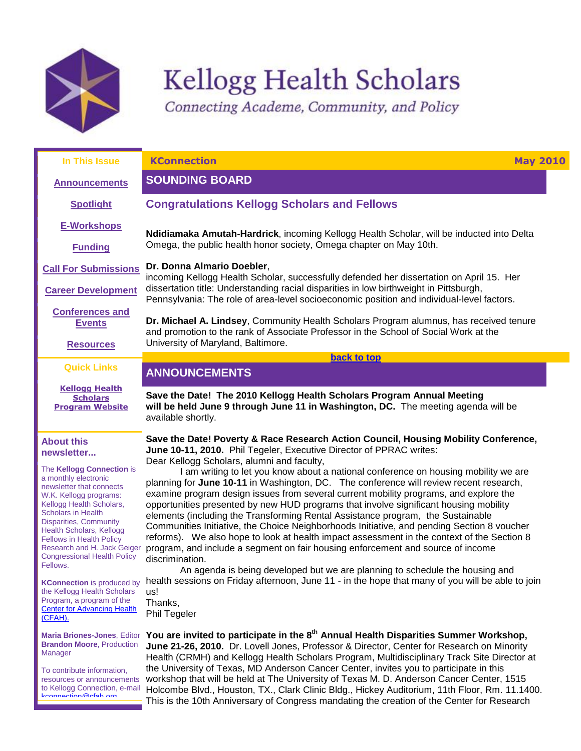

kconnection@cfah.org

# Kellogg Health Scholars

<span id="page-0-1"></span>Connecting Academe, Community, and Policy

<span id="page-0-0"></span>

| In This Issue                                                                                                                                                                                                                                                                                                                                                                                                                                                                                                                      | <b>KConnection</b><br><b>May 2010</b>                                                                                                                                                                                                                                                                                                                                                                                                                                                                                                                                                                                                                                                                                                                                                                                                                                                                                                                                                                                                                                                                                                                                                         |
|------------------------------------------------------------------------------------------------------------------------------------------------------------------------------------------------------------------------------------------------------------------------------------------------------------------------------------------------------------------------------------------------------------------------------------------------------------------------------------------------------------------------------------|-----------------------------------------------------------------------------------------------------------------------------------------------------------------------------------------------------------------------------------------------------------------------------------------------------------------------------------------------------------------------------------------------------------------------------------------------------------------------------------------------------------------------------------------------------------------------------------------------------------------------------------------------------------------------------------------------------------------------------------------------------------------------------------------------------------------------------------------------------------------------------------------------------------------------------------------------------------------------------------------------------------------------------------------------------------------------------------------------------------------------------------------------------------------------------------------------|
| <b>Announcements</b>                                                                                                                                                                                                                                                                                                                                                                                                                                                                                                               | <b>SOUNDING BOARD</b>                                                                                                                                                                                                                                                                                                                                                                                                                                                                                                                                                                                                                                                                                                                                                                                                                                                                                                                                                                                                                                                                                                                                                                         |
| <b>Spotlight</b>                                                                                                                                                                                                                                                                                                                                                                                                                                                                                                                   | <b>Congratulations Kellogg Scholars and Fellows</b>                                                                                                                                                                                                                                                                                                                                                                                                                                                                                                                                                                                                                                                                                                                                                                                                                                                                                                                                                                                                                                                                                                                                           |
| <b>E-Workshops</b>                                                                                                                                                                                                                                                                                                                                                                                                                                                                                                                 | Ndidiamaka Amutah-Hardrick, incoming Kellogg Health Scholar, will be inducted into Delta                                                                                                                                                                                                                                                                                                                                                                                                                                                                                                                                                                                                                                                                                                                                                                                                                                                                                                                                                                                                                                                                                                      |
| <b>Funding</b>                                                                                                                                                                                                                                                                                                                                                                                                                                                                                                                     | Omega, the public health honor society, Omega chapter on May 10th.                                                                                                                                                                                                                                                                                                                                                                                                                                                                                                                                                                                                                                                                                                                                                                                                                                                                                                                                                                                                                                                                                                                            |
| <b>Call For Submissions</b>                                                                                                                                                                                                                                                                                                                                                                                                                                                                                                        | Dr. Donna Almario Doebler,<br>incoming Kellogg Health Scholar, successfully defended her dissertation on April 15. Her                                                                                                                                                                                                                                                                                                                                                                                                                                                                                                                                                                                                                                                                                                                                                                                                                                                                                                                                                                                                                                                                        |
| <b>Career Development</b>                                                                                                                                                                                                                                                                                                                                                                                                                                                                                                          | dissertation title: Understanding racial disparities in low birthweight in Pittsburgh,<br>Pennsylvania: The role of area-level socioeconomic position and individual-level factors.                                                                                                                                                                                                                                                                                                                                                                                                                                                                                                                                                                                                                                                                                                                                                                                                                                                                                                                                                                                                           |
| <b>Conferences and</b><br><b>Events</b><br><b>Resources</b>                                                                                                                                                                                                                                                                                                                                                                                                                                                                        | Dr. Michael A. Lindsey, Community Health Scholars Program alumnus, has received tenure<br>and promotion to the rank of Associate Professor in the School of Social Work at the<br>University of Maryland, Baltimore.                                                                                                                                                                                                                                                                                                                                                                                                                                                                                                                                                                                                                                                                                                                                                                                                                                                                                                                                                                          |
|                                                                                                                                                                                                                                                                                                                                                                                                                                                                                                                                    | back to top                                                                                                                                                                                                                                                                                                                                                                                                                                                                                                                                                                                                                                                                                                                                                                                                                                                                                                                                                                                                                                                                                                                                                                                   |
| <b>Quick Links</b>                                                                                                                                                                                                                                                                                                                                                                                                                                                                                                                 | <b>ANNOUNCEMENTS</b>                                                                                                                                                                                                                                                                                                                                                                                                                                                                                                                                                                                                                                                                                                                                                                                                                                                                                                                                                                                                                                                                                                                                                                          |
| <b>Kellogg Health</b><br><b>Scholars</b><br><b>Program Website</b>                                                                                                                                                                                                                                                                                                                                                                                                                                                                 | Save the Date! The 2010 Kellogg Health Scholars Program Annual Meeting<br>will be held June 9 through June 11 in Washington, DC. The meeting agenda will be<br>available shortly.                                                                                                                                                                                                                                                                                                                                                                                                                                                                                                                                                                                                                                                                                                                                                                                                                                                                                                                                                                                                             |
| <b>About this</b><br>newsletter<br>The Kellogg Connection is<br>a monthly electronic<br>newsletter that connects<br>W.K. Kellogg programs:<br>Kellogg Health Scholars,<br><b>Scholars in Health</b><br><b>Disparities, Community</b><br><b>Health Scholars, Kellogg</b><br><b>Fellows in Health Policy</b><br>Research and H. Jack Geiger<br><b>Congressional Health Policy</b><br>Fellows.<br><b>KConnection</b> is produced by<br>the Kellogg Health Scholars<br>Program, a program of the<br><b>Center for Advancing Health</b> | Save the Date! Poverty & Race Research Action Council, Housing Mobility Conference,<br>June 10-11, 2010. Phil Tegeler, Executive Director of PPRAC writes:<br>Dear Kellogg Scholars, alumni and faculty,<br>I am writing to let you know about a national conference on housing mobility we are<br>planning for June 10-11 in Washington, DC. The conference will review recent research,<br>examine program design issues from several current mobility programs, and explore the<br>opportunities presented by new HUD programs that involve significant housing mobility<br>elements (including the Transforming Rental Assistance program, the Sustainable<br>Communities Initiative, the Choice Neighborhoods Initiative, and pending Section 8 voucher<br>reforms). We also hope to look at health impact assessment in the context of the Section 8<br>program, and include a segment on fair housing enforcement and source of income<br>discrimination.<br>An agenda is being developed but we are planning to schedule the housing and<br>health sessions on Friday afternoon, June 11 - in the hope that many of you will be able to join<br>us!<br>Thanks,<br><b>Phil Tegeler</b> |
| (CFAH).<br><b>Maria Briones-Jones, Editor</b><br><b>Brandon Moore, Production</b><br>Manager<br>To contribute information,<br>resources or announcements<br>to Kellogg Connection, e-mail                                                                                                                                                                                                                                                                                                                                          | You are invited to participate in the 8 <sup>th</sup> Annual Health Disparities Summer Workshop,<br>June 21-26, 2010. Dr. Lovell Jones, Professor & Director, Center for Research on Minority<br>Health (CRMH) and Kellogg Health Scholars Program, Multidisciplinary Track Site Director at<br>the University of Texas, MD Anderson Cancer Center, invites you to participate in this<br>workshop that will be held at The University of Texas M. D. Anderson Cancer Center, 1515<br>Holcombe Blyd. Houston, TX. Clark Clinic Bldg. Hickey Auditorium, 11th Floor, Rm. 11, 1400.                                                                                                                                                                                                                                                                                                                                                                                                                                                                                                                                                                                                             |

Holcombe Blvd., Houston, TX., Clark Clinic Bldg., Hickey Auditorium, 11th Floor, Rm. 11.1400. This is the 10th Anniversary of Congress mandating the creation of the Center for Research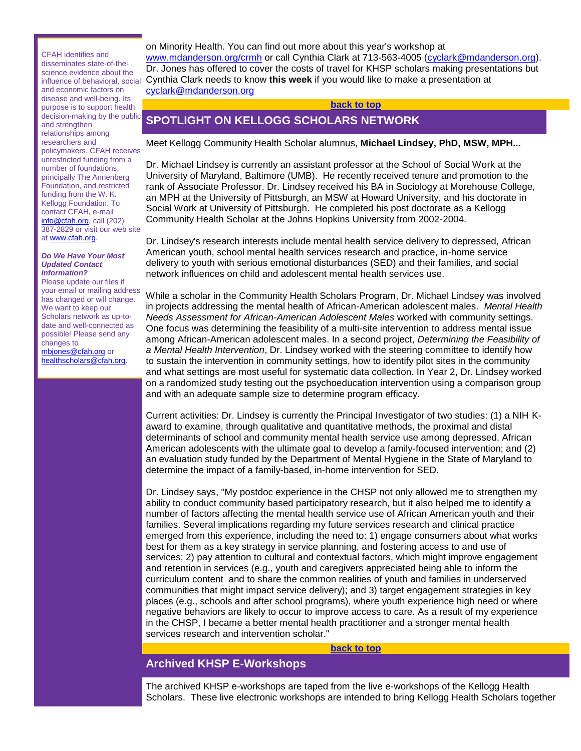CFAH identifies and disseminates state-of-thescience evidence about the influence of behavioral, social and economic factors on disease and well-being. Its purpose is to support health decision-making by the public and strengthen relationships among researchers and policymakers. CFAH receives unrestricted funding from a number of foundations, principally The Annenberg Foundation, and restricted funding from the W. K. Kellogg Foundation. To contact CFAH, e-mail [info@cfah.org,](mailto:info@cfah.org) call (202) 387-2829 or visit our web site a[t www.cfah.org.](http://r20.rs6.net/tn.jsp?et=1103369382426&s=1&e=001lCjIYZaTCtL-WCVQFk3HE_Tl3rtHaBURJ8XU0AogmDZLOhwaC7snSYdLDfSyjwkawjD5k9ZGwPUP4ovv6d2I9ariV_o5dxxF-kCfTBGEFNM=)

#### *Do We Have Your Most Updated Contact Information?*

Please update our files if your email or mailing address has changed or will change. We want to keep our Scholars network as up-todate and well-connected as possible! Please send any changes to [mbjones@cfah.org](mailto:mbjones@cfah.org) or [healthscholars@cfah.org.](mailto:healthscholars@cfah.org)

on Minority Health. You can find out more about this year's workshop at [www.mdanderson.org/crmh](http://r20.rs6.net/tn.jsp?et=1103369382426&s=1&e=001lCjIYZaTCtIJ2bFcriyG40ouDPJxshdp0Bza7KKrrxVHeEcBO1Rg9-Th77-EX-uM-lAmHqMBM08hUFoJzS6z7sg3FAoqO2Q_aFxAQ22IHwlz-fxu8Nqj2g==) or call Cynthia Clark at 713-563-4005 [\(cyclark@mdanderson.org\)](mailto:cyclark@mdanderson.org). Dr. Jones has offered to cover the costs of travel for KHSP scholars making presentations but Cynthia Clark needs to know **this week** if you would like to make a presentation at [cyclark@mdanderson.org](mailto:cyclark@mdanderson.org)

## **[back to top](#page-0-1)**

# <span id="page-1-0"></span>**SPOTLIGHT ON KELLOGG SCHOLARS NETWORK**

Meet Kellogg Community Health Scholar alumnus, **Michael Lindsey, PhD, MSW, MPH...**

Dr. Michael Lindsey is currently an assistant professor at the School of Social Work at the University of Maryland, Baltimore (UMB). He recently received tenure and promotion to the rank of Associate Professor. Dr. Lindsey received his BA in Sociology at Morehouse College, an MPH at the University of Pittsburgh, an MSW at Howard University, and his doctorate in Social Work at University of Pittsburgh. He completed his post doctorate as a Kellogg Community Health Scholar at the Johns Hopkins University from 2002-2004.

Dr. Lindsey's research interests include mental health service delivery to depressed, African American youth, school mental health services research and practice, in-home service delivery to youth with serious emotional disturbances (SED) and their families, and social network influences on child and adolescent mental health services use.

While a scholar in the Community Health Scholars Program, Dr. Michael Lindsey was involved in projects addressing the mental health of African-American adolescent males. *Mental Health Needs Assessment for African-American Adolescent Males* worked with community settings. One focus was determining the feasibility of a multi-site intervention to address mental issue among African-American adolescent males. In a second project, *Determining the Feasibility of a Mental Health Intervention*, Dr. Lindsey worked with the steering committee to identify how to sustain the intervention in community settings, how to identify pilot sites in the community and what settings are most useful for systematic data collection. In Year 2, Dr. Lindsey worked on a randomized study testing out the psychoeducation intervention using a comparison group and with an adequate sample size to determine program efficacy.

Current activities: Dr. Lindsey is currently the Principal Investigator of two studies: (1) a NIH Kaward to examine, through qualitative and quantitative methods, the proximal and distal determinants of school and community mental health service use among depressed, African American adolescents with the ultimate goal to develop a family-focused intervention; and (2) an evaluation study funded by the Department of Mental Hygiene in the State of Maryland to determine the impact of a family-based, in-home intervention for SED.

Dr. Lindsey says, "My postdoc experience in the CHSP not only allowed me to strengthen my ability to conduct community based participatory research, but it also helped me to identify a number of factors affecting the mental health service use of African American youth and their families. Several implications regarding my future services research and clinical practice emerged from this experience, including the need to: 1) engage consumers about what works best for them as a key strategy in service planning, and fostering access to and use of services; 2) pay attention to cultural and contextual factors, which might improve engagement and retention in services (e.g., youth and caregivers appreciated being able to inform the curriculum content and to share the common realities of youth and families in underserved communities that might impact service delivery); and 3) target engagement strategies in key places (e.g., schools and after school programs), where youth experience high need or where negative behaviors are likely to occur to improve access to care. As a result of my experience in the CHSP, I became a better mental health practitioner and a stronger mental health services research and intervention scholar."

#### **[back to top](#page-0-1)**

# <span id="page-1-1"></span>**Archived KHSP E-Workshops**

The archived KHSP e-workshops are taped from the live e-workshops of the Kellogg Health Scholars. These live electronic workshops are intended to bring Kellogg Health Scholars together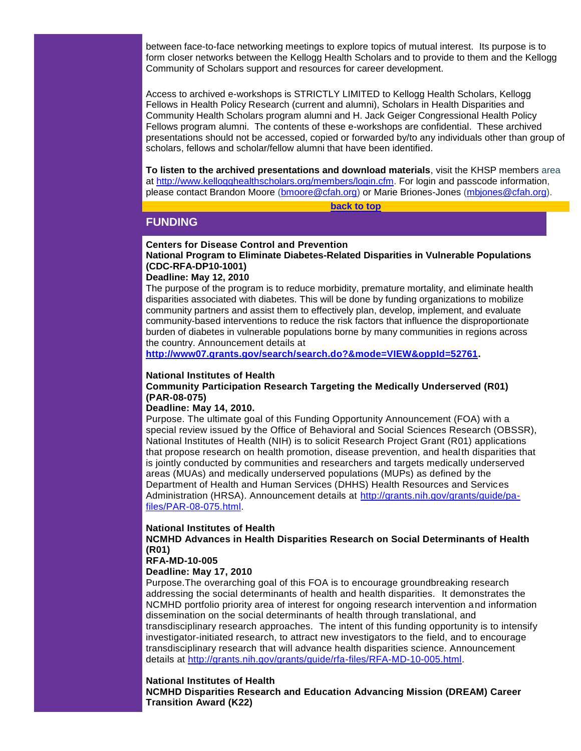between face-to-face networking meetings to explore topics of mutual interest. Its purpose is to form closer networks between the Kellogg Health Scholars and to provide to them and the Kellogg Community of Scholars support and resources for career development.

Access to archived e-workshops is STRICTLY LIMITED to Kellogg Health Scholars, Kellogg Fellows in Health Policy Research (current and alumni), Scholars in Health Disparities and Community Health Scholars program alumni and H. Jack Geiger Congressional Health Policy Fellows program alumni. The contents of these e-workshops are confidential. These archived presentations should not be accessed, copied or forwarded by/to any individuals other than group of scholars, fellows and scholar/fellow alumni that have been identified.

**To listen to the archived presentations and download materials**, visit the KHSP members area at [http://www.kellogghealthscholars.org/members/login.cfm.](http://r20.rs6.net/tn.jsp?et=1103369382426&s=1&e=001lCjIYZaTCtJgjtuDlXcpF3ObUFRRwCKj5UJXpFWC268ld5wOqwdieGIfIaq5VnbRUatsrtA6GLjmyavDUF3wgBy2At88apwX1ogijR969krR_dQa-oZ-sgxa8tn4iJzhzRjThnFTk4p0YasYvxY_UQ==) For login and passcode information, please contact Brandon Moore [\(bmoore@cfah.org\)](mailto:bmoore@cfah.org) or Marie Briones-Jones [\(mbjones@cfah.org\)](mailto:mbjones@cfah.org).

**[back to top](#page-0-1)**

# <span id="page-2-0"></span>**FUNDING**

# **Centers for Disease Control and Prevention**

**National Program to Eliminate Diabetes-Related Disparities in Vulnerable Populations (CDC-RFA-DP10-1001)**

# **Deadline: May 12, 2010**

The purpose of the program is to reduce morbidity, premature mortality, and eliminate health disparities associated with diabetes. This will be done by funding organizations to mobilize community partners and assist them to effectively plan, develop, implement, and evaluate community-based interventions to reduce the risk factors that influence the disproportionate burden of diabetes in vulnerable populations borne by many communities in regions across the country. Announcement details at

**[http://www07.grants.gov/search/search.do?&mode=VIEW&oppId=52761.](http://r20.rs6.net/tn.jsp?et=1103369382426&s=1&e=001lCjIYZaTCtI0ErokNPLv6NZz3sR7FzYCDasSFERljgJzvB1WjsfW06N05M-fhvlF1Eaeu3-7dXZ1ThTyhhqv8FYDNpzzHRgOuOh-2nwSTFQ9MCTiFfG9M-_B_bfDrdCRhPLRKwfFBWkIQmsZygB8mFdLAWLorKl8z2RSmQRxbXqZL0PPH6B_zg==)** 

## **National Institutes of Health**

# **Community Participation Research Targeting the Medically Underserved (R01) (PAR-08-075)**

## **Deadline: May 14, 2010.**

Purpose. The ultimate goal of this Funding Opportunity Announcement (FOA) with a special review issued by the Office of Behavioral and Social Sciences Research (OBSSR), National Institutes of Health (NIH) is to solicit Research Project Grant (R01) applications that propose research on health promotion, disease prevention, and health disparities that is jointly conducted by communities and researchers and targets medically underserved areas (MUAs) and medically underserved populations (MUPs) as defined by the Department of Health and Human Services (DHHS) Health Resources and Services Administration (HRSA). Announcement details at [http://grants.nih.gov/grants/guide/pa](http://r20.rs6.net/tn.jsp?et=1103369382426&s=1&e=001lCjIYZaTCtKpZxSyMEBHmd6DbvjlIjxS9tUYywXG7orqd-oMfE74ZQ_sy9T6J5cvRgXBwRRmhvATrLYaC7BboO5jxeuhvCaRWszJVNRptwdOtFDJua6xkzzkqkd3K4GGaDbEm3xmc8rQNo1ZtYSJPWEnLL0HilSNAGdTVywDc-I=)[files/PAR-08-075.html.](http://r20.rs6.net/tn.jsp?et=1103369382426&s=1&e=001lCjIYZaTCtKpZxSyMEBHmd6DbvjlIjxS9tUYywXG7orqd-oMfE74ZQ_sy9T6J5cvRgXBwRRmhvATrLYaC7BboO5jxeuhvCaRWszJVNRptwdOtFDJua6xkzzkqkd3K4GGaDbEm3xmc8rQNo1ZtYSJPWEnLL0HilSNAGdTVywDc-I=)

## **National Institutes of Health**

# **NCMHD Advances in Health Disparities Research on Social Determinants of Health (R01)**

# **RFA-MD-10-005**

# **Deadline: May 17, 2010**

Purpose.The overarching goal of this FOA is to encourage groundbreaking research addressing the social determinants of health and health disparities. It demonstrates the NCMHD portfolio priority area of interest for ongoing research intervention and information dissemination on the social determinants of health through translational, and transdisciplinary research approaches. The intent of this funding opportunity is to intensify investigator-initiated research, to attract new investigators to the field, and to encourage transdisciplinary research that will advance health disparities science. Announcement details at [http://grants.nih.gov/grants/guide/rfa-files/RFA-MD-10-005.html.](http://r20.rs6.net/tn.jsp?et=1103369382426&s=1&e=001lCjIYZaTCtLkDtkFR-Tcvk0M30vFjsfcjYjtabXgD2-onPVrudeyNY7J_RH8N1_53EB-Che1NrFsUgn-ZZYcb01h8z_NhNArPHf8EIsTYRLTqgR2zhNY9P3Baf3iip7HENziQ2Ywfo3gIrmAM3b0VhJ6f_Iwfs3zmN4IFdyWj0A=)

## **National Institutes of Health**

**NCMHD Disparities Research and Education Advancing Mission (DREAM) Career Transition Award (K22)**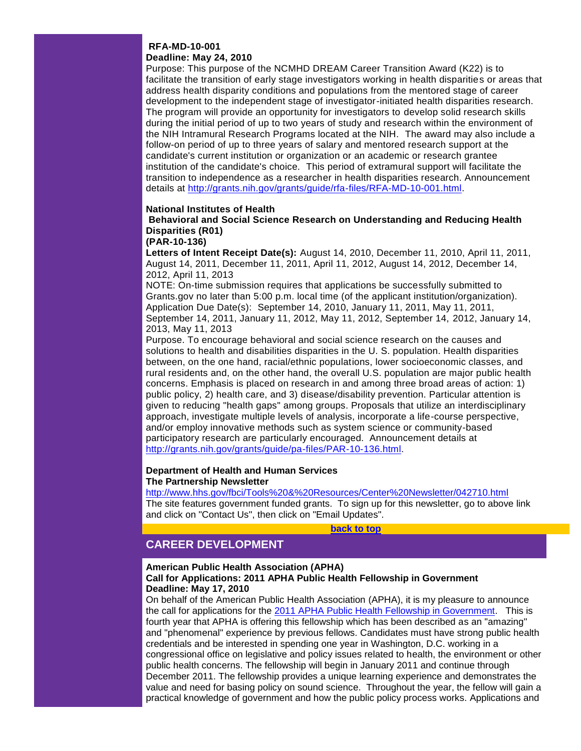# **RFA-MD-10-001**

## **Deadline: May 24, 2010**

Purpose: This purpose of the NCMHD DREAM Career Transition Award (K22) is to facilitate the transition of early stage investigators working in health disparities or areas that address health disparity conditions and populations from the mentored stage of career development to the independent stage of investigator-initiated health disparities research. The program will provide an opportunity for investigators to develop solid research skills during the initial period of up to two years of study and research within the environment of the NIH Intramural Research Programs located at the NIH. The award may also include a follow-on period of up to three years of salary and mentored research support at the candidate's current institution or organization or an academic or research grantee institution of the candidate's choice. This period of extramural support will facilitate the transition to independence as a researcher in health disparities research. Announcement details at [http://grants.nih.gov/grants/guide/rfa-files/RFA-MD-10-001.html.](http://r20.rs6.net/tn.jsp?et=1103369382426&s=1&e=001lCjIYZaTCtLg0rV20oFD5-ENloLYwHtBGomrlc0Y_Wc05Uw1vdseoMFRn85kjMiXamSt6F3U83yUsY7FhRCbr5raOKm8cWgQGdovHLimzblM8boJcoOESnpxEHR9f-Zbdepo19ju0AuX-R1qtff9BUQ19jjS0Xm8--pOWmqnE0E=)

# **National Institutes of Health**

**Behavioral and Social Science Research on Understanding and Reducing Health Disparities (R01)**

## **(PAR-10-136)**

**Letters of Intent Receipt Date(s):** August 14, 2010, December 11, 2010, April 11, 2011, August 14, 2011, December 11, 2011, April 11, 2012, August 14, 2012, December 14, 2012, April 11, 2013

NOTE: On-time submission requires that applications be successfully submitted to Grants.gov no later than 5:00 p.m. local time (of the applicant institution/organization). Application Due Date(s): September 14, 2010, January 11, 2011, May 11, 2011, September 14, 2011, January 11, 2012, May 11, 2012, September 14, 2012, January 14, 2013, May 11, 2013

Purpose. To encourage behavioral and social science research on the causes and solutions to health and disabilities disparities in the U. S. population. Health disparities between, on the one hand, racial/ethnic populations, lower socioeconomic classes, and rural residents and, on the other hand, the overall U.S. population are major public health concerns. Emphasis is placed on research in and among three broad areas of action: 1) public policy, 2) health care, and 3) disease/disability prevention. Particular attention is given to reducing "health gaps" among groups. Proposals that utilize an interdisciplinary approach, investigate multiple levels of analysis, incorporate a life-course perspective, and/or employ innovative methods such as system science or community-based participatory research are particularly encouraged. Announcement details at [http://grants.nih.gov/grants/guide/pa-files/PAR-10-136.html.](http://r20.rs6.net/tn.jsp?et=1103369382426&s=1&e=001lCjIYZaTCtIne21Ry_w-lQrUaYr2bVqWQaXPWLZ3BrxNIaY01egDdfxWlqRW-vmCpIvej0XU-wKcTxdZO6kjXixptRCqupAhrSO8XMrJQZakXLAsPqkR1n8rjDe0Br8AAhWnl0vySC6gXDJbydHPSVC6d1do-66Jpc3snkiPvN0=)

## **Department of Health and Human Services The Partnership Newsletter**

[http://www.hhs.gov/fbci/Tools%20&%20Resources/Center%20Newsletter/042710.html](http://r20.rs6.net/tn.jsp?et=1103369382426&s=1&e=001lCjIYZaTCtL6Z0WbQa5qJxjxqsjPIy03akIarv6X8C0G58Zfe6pIigGL44RSdMD3l_BQrZ0XUFmq4VKe4Lux1LtQvve7_IvUllNjZOEZw_tbOh5jTiDn_XmtmdDCHluu1KEciCSREezoLw4BFIsycUxjNSI9TOT_GUJHO6okQuv6EUdOwqY1OHfOlkswjeFsku0pwDA9Su8=) The site features government funded grants. To sign up for this newsletter, go to above link and click on "Contact Us", then click on "Email Updates".

**[back to top](#page-0-1)**

# <span id="page-3-0"></span>**CAREER DEVELOPMENT**

# **American Public Health Association (APHA)**

## **Call for Applications: 2011 APHA Public Health Fellowship in Government Deadline: May 17, 2010**

On behalf of the American Public Health Association (APHA), it is my pleasure to announce the call for applications for the [2011 APHA Public Health Fellowship in Government.](http://r20.rs6.net/tn.jsp?et=1103369382426&s=1&e=001lCjIYZaTCtK5ePv13BPPOLvrvP7xGN7bs432I0buqzIoD_FzkPTnRdrwVHiQLWVMs5v30wNRdgsrMTIas5QV8fHtSgJ62S51-JWnerSIbdilWcDijr_QOZIz9vPJhQMZtt1zfW_4CEluCnYxBixPC4PeQeZyHgV6) This is fourth year that APHA is offering this fellowship which has been described as an "amazing" and "phenomenal" experience by previous fellows. Candidates must have strong public health credentials and be interested in spending one year in Washington, D.C. working in a congressional office on legislative and policy issues related to health, the environment or other public health concerns. The fellowship will begin in January 2011 and continue through December 2011. The fellowship provides a unique learning experience and demonstrates the value and need for basing policy on sound science. Throughout the year, the fellow will gain a practical knowledge of government and how the public policy process works. Applications and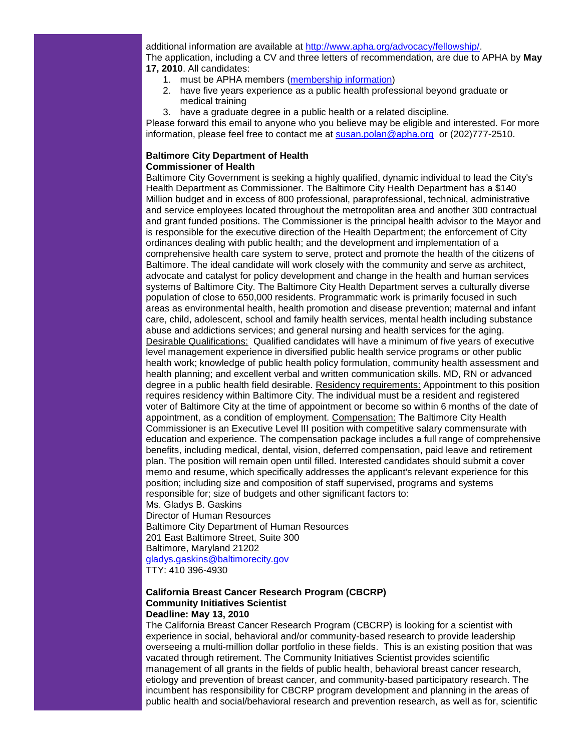additional information are available at [http://www.apha.org/advocacy/fellowship/.](http://r20.rs6.net/tn.jsp?et=1103369382426&s=1&e=001lCjIYZaTCtIhTrii7au4v_8SZXAeov1hGmFtx4ToHNgJ5LUaVSpyWcufU3TJPQBRUIv-XXbmkIA7fC6jOtp9kxHXCbqILmrIG-WAszxgWuyAvG9RIuf0PTLgKiUDzVWgChj7mldJlsyTmXXkHVVgEh3rvC9y5JQv) The application, including a CV and three letters of recommendation, are due to APHA by **May 17, 2010**. All candidates:

- 1. must be APHA members [\(membership information\)](http://r20.rs6.net/tn.jsp?et=1103369382426&s=1&e=001lCjIYZaTCtLHNxSxh-teNV4rdpBdfwi2qCD7kAijFUNksXqWZuaW22TjlyTxUTM5KaxVIbt10s-z__-T3YvD4cvmnOX88fa3S_D4VFt5TfL-PFEYA9qhNaJCGbYnkFyRE0FqasGSViNoNeXxmT9WzvG8MtXh0v-F)
- 2. have five years experience as a public health professional beyond graduate or medical training
- 3. have a graduate degree in a public health or a related discipline.

Please forward this email to anyone who you believe may be eligible and interested. For more information, please feel free to contact me at [susan.polan@apha.org](mailto:susan.polan@apha.org) or (202)777-2510.

# **Baltimore City Department of Health Commissioner of Health**

Baltimore City Government is seeking a highly qualified, dynamic individual to lead the City's Health Department as Commissioner. The Baltimore City Health Department has a \$140 Million budget and in excess of 800 professional, paraprofessional, technical, administrative and service employees located throughout the metropolitan area and another 300 contractual and grant funded positions. The Commissioner is the principal health advisor to the Mayor and is responsible for the executive direction of the Health Department; the enforcement of City ordinances dealing with public health; and the development and implementation of a comprehensive health care system to serve, protect and promote the health of the citizens of Baltimore. The ideal candidate will work closely with the community and serve as architect, advocate and catalyst for policy development and change in the health and human services systems of Baltimore City. The Baltimore City Health Department serves a culturally diverse population of close to 650,000 residents. Programmatic work is primarily focused in such areas as environmental health, health promotion and disease prevention; maternal and infant care, child, adolescent, school and family health services, mental health including substance abuse and addictions services; and general nursing and health services for the aging. Desirable Qualifications: Qualified candidates will have a minimum of five years of executive level management experience in diversified public health service programs or other public health work; knowledge of public health policy formulation, community health assessment and health planning; and excellent verbal and written communication skills. MD, RN or advanced degree in a public health field desirable. Residency requirements: Appointment to this position requires residency within Baltimore City. The individual must be a resident and registered voter of Baltimore City at the time of appointment or become so within 6 months of the date of appointment, as a condition of employment. Compensation: The Baltimore City Health Commissioner is an Executive Level III position with competitive salary commensurate with education and experience. The compensation package includes a full range of comprehensive benefits, including medical, dental, vision, deferred compensation, paid leave and retirement plan. The position will remain open until filled. Interested candidates should submit a cover memo and resume, which specifically addresses the applicant's relevant experience for this position; including size and composition of staff supervised, programs and systems responsible for; size of budgets and other significant factors to:

Ms. Gladys B. Gaskins Director of Human Resources

Baltimore City Department of Human Resources 201 East Baltimore Street, Suite 300 Baltimore, Maryland 21202 [gladys.gaskins@baltimorecity.gov](mailto:gladys.gaskins@baltimorecity.gov)

TTY: 410 396-4930

## **California Breast Cancer Research Program (CBCRP) Community Initiatives Scientist Deadline: May 13, 2010**

The California Breast Cancer Research Program (CBCRP) is looking for a scientist with experience in social, behavioral and/or community-based research to provide leadership overseeing a multi-million dollar portfolio in these fields. This is an existing position that was vacated through retirement. The Community Initiatives Scientist provides scientific management of all grants in the fields of public health, behavioral breast cancer research, etiology and prevention of breast cancer, and community-based participatory research. The incumbent has responsibility for CBCRP program development and planning in the areas of public health and social/behavioral research and prevention research, as well as for, scientific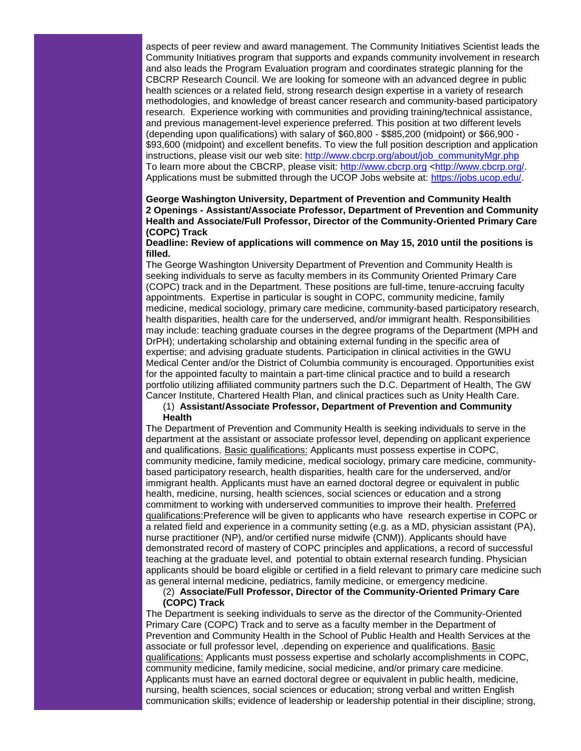aspects of peer review and award management. The Community Initiatives Scientist leads the Community Initiatives program that supports and expands community involvement in research and also leads the Program Evaluation program and coordinates strategic planning for the CBCRP Research Council. We are looking for someone with an advanced degree in public health sciences or a related field, strong research design expertise in a variety of research methodologies, and knowledge of breast cancer research and community-based participatory research. Experience working with communities and providing training/technical assistance, and previous management-level experience preferred. This position at two different levels (depending upon qualifications) with salary of \$60,800 - \$\$85,200 (midpoint) or \$66,900 - \$93,600 (midpoint) and excellent benefits. To view the full position description and application instructions, please visit our web site: [http://www.cbcrp.org/about/job\\_communityMgr.php](http://r20.rs6.net/tn.jsp?et=1103369382426&s=1&e=001lCjIYZaTCtKtDIslkRvkMy657vGr7A4eVdb1Ki9szQxsaIyeryZc0vfsV3brsEvJJ5yOhdRtK-SWbhtmqxjIUTH8XorQ0lmYC7uzZG3pgT8MkNt3jfnEbsjlyIN-ITEjoiijHVsPiz66TBnzu0Lzpg==) To learn more about the CBCRP, please visit: [http://www.cbcrp.org](http://r20.rs6.net/tn.jsp?et=1103369382426&s=1&e=001lCjIYZaTCtIl2c6cPDeiJvb-PO_-YhheqypIAOo3QSGCdeouEO5KO2hf1vcqoNgX9U40uae_gAO6TuewyAXUNycxxebdmFo53ZbvKJIDjEU=) [<http://www.cbcrp.org/.](http://r20.rs6.net/tn.jsp?et=1103369382426&s=1&e=001lCjIYZaTCtIl2c6cPDeiJvb-PO_-YhheqypIAOo3QSGCdeouEO5KO2hf1vcqoNgX9U40uae_gAO6TuewyAXUNycxxebdmFo53ZbvKJIDjEU=) Applications must be submitted through the UCOP Jobs website at: [https://jobs.ucop.edu/.](http://r20.rs6.net/tn.jsp?et=1103369382426&s=1&e=001lCjIYZaTCtLxlodkY53NljD1dDSab8_kRopuAxTfqXsO8Hwc9pWX2u2LXbdEvIfVUKepxlH2nJrZunnzqHJJ7Ghb9LfTW7cKMCT4vmGsbsA=)

# **George Washington University, Department of Prevention and Community Health 2 Openings - Assistant/Associate Professor, Department of Prevention and Community Health and Associate/Full Professor, Director of the Community-Oriented Primary Care (COPC) Track**

**Deadline: Review of applications will commence on May 15, 2010 until the positions is filled.**

The George Washington University Department of Prevention and Community Health is seeking individuals to serve as faculty members in its Community Oriented Primary Care (COPC) track and in the Department. These positions are full-time, tenure-accruing faculty appointments. Expertise in particular is sought in COPC, community medicine, family medicine, medical sociology, primary care medicine, community-based participatory research, health disparities, health care for the underserved, and/or immigrant health. Responsibilities may include: teaching graduate courses in the degree programs of the Department (MPH and DrPH); undertaking scholarship and obtaining external funding in the specific area of expertise; and advising graduate students. Participation in clinical activities in the GWU Medical Center and/or the District of Columbia community is encouraged. Opportunities exist for the appointed faculty to maintain a part-time clinical practice and to build a research portfolio utilizing affiliated community partners such the D.C. Department of Health, The GW Cancer Institute, Chartered Health Plan, and clinical practices such as Unity Health Care.

## (1) **Assistant/Associate Professor, Department of Prevention and Community Health**

The Department of Prevention and Community Health is seeking individuals to serve in the department at the assistant or associate professor level, depending on applicant experience and qualifications. Basic qualifications: Applicants must possess expertise in COPC, community medicine, family medicine, medical sociology, primary care medicine, communitybased participatory research, health disparities, health care for the underserved, and/or immigrant health. Applicants must have an earned doctoral degree or equivalent in public health, medicine, nursing, health sciences, social sciences or education and a strong commitment to working with underserved communities to improve their health. Preferred qualifications:Preference will be given to applicants who have research expertise in COPC or a related field and experience in a community setting (e.g. as a MD, physician assistant (PA), nurse practitioner (NP), and/or certified nurse midwife (CNM)). Applicants should have demonstrated record of mastery of COPC principles and applications, a record of successful teaching at the graduate level, and potential to obtain external research funding. Physician applicants should be board eligible or certified in a field relevant to primary care medicine such as general internal medicine, pediatrics, family medicine, or emergency medicine.

(2) **Associate/Full Professor, Director of the Community-Oriented Primary Care** 

## **(COPC) Track**

The Department is seeking individuals to serve as the director of the Community-Oriented Primary Care (COPC) Track and to serve as a faculty member in the Department of Prevention and Community Health in the School of Public Health and Health Services at the associate or full professor level, .depending on experience and qualifications. Basic qualifications: Applicants must possess expertise and scholarly accomplishments in COPC, community medicine, family medicine, social medicine, and/or primary care medicine. Applicants must have an earned doctoral degree or equivalent in public health, medicine, nursing, health sciences, social sciences or education; strong verbal and written English communication skills; evidence of leadership or leadership potential in their discipline; strong,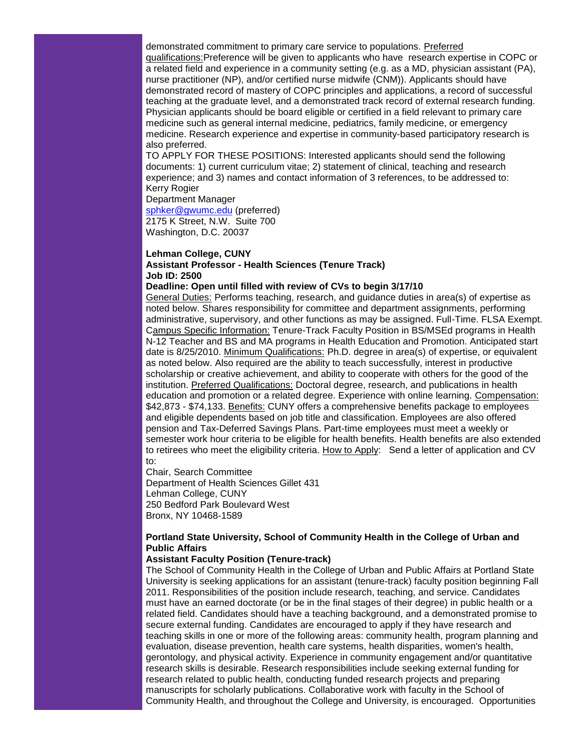demonstrated commitment to primary care service to populations. Preferred qualifications:Preference will be given to applicants who have research expertise in COPC or a related field and experience in a community setting (e.g. as a MD, physician assistant (PA), nurse practitioner (NP), and/or certified nurse midwife (CNM)). Applicants should have demonstrated record of mastery of COPC principles and applications, a record of successful teaching at the graduate level, and a demonstrated track record of external research funding. Physician applicants should be board eligible or certified in a field relevant to primary care medicine such as general internal medicine, pediatrics, family medicine, or emergency medicine. Research experience and expertise in community-based participatory research is also preferred.

TO APPLY FOR THESE POSITIONS: Interested applicants should send the following documents: 1) current curriculum vitae; 2) statement of clinical, teaching and research experience; and 3) names and contact information of 3 references, to be addressed to: Kerry Rogier

Department Manager

[sphker@gwumc.edu](mailto:sphker@gwumc.edu) (preferred) 2175 K Street, N.W. Suite 700 Washington, D.C. 20037

## **Lehman College, CUNY Assistant Professor - Health Sciences (Tenure Track) Job ID: 2500**

## **Deadline: Open until filled with review of CVs to begin 3/17/10**

General Duties: Performs teaching, research, and guidance duties in area(s) of expertise as noted below. Shares responsibility for committee and department assignments, performing administrative, supervisory, and other functions as may be assigned. Full-Time. FLSA Exempt. Campus Specific Information: Tenure-Track Faculty Position in BS/MSEd programs in Health N-12 Teacher and BS and MA programs in Health Education and Promotion. Anticipated start date is 8/25/2010. Minimum Qualifications: Ph.D. degree in area(s) of expertise, or equivalent as noted below. Also required are the ability to teach successfully, interest in productive scholarship or creative achievement, and ability to cooperate with others for the good of the institution. Preferred Qualifications: Doctoral degree, research, and publications in health education and promotion or a related degree. Experience with online learning. Compensation: \$42,873 - \$74,133. Benefits: CUNY offers a comprehensive benefits package to employees and eligible dependents based on job title and classification. Employees are also offered pension and Tax-Deferred Savings Plans. Part-time employees must meet a weekly or semester work hour criteria to be eligible for health benefits. Health benefits are also extended to retirees who meet the eligibility criteria. How to Apply: Send a letter of application and CV to:

Chair, Search Committee Department of Health Sciences Gillet 431 Lehman College, CUNY 250 Bedford Park Boulevard West Bronx, NY 10468-1589

# **Portland State University, School of Community Health in the College of Urban and Public Affairs**

## **Assistant Faculty Position (Tenure-track)**

The School of Community Health in the College of Urban and Public Affairs at Portland State University is seeking applications for an assistant (tenure-track) faculty position beginning Fall 2011. Responsibilities of the position include research, teaching, and service. Candidates must have an earned doctorate (or be in the final stages of their degree) in public health or a related field. Candidates should have a teaching background, and a demonstrated promise to secure external funding. Candidates are encouraged to apply if they have research and teaching skills in one or more of the following areas: community health, program planning and evaluation, disease prevention, health care systems, health disparities, women's health, gerontology, and physical activity. Experience in community engagement and/or quantitative research skills is desirable. Research responsibilities include seeking external funding for research related to public health, conducting funded research projects and preparing manuscripts for scholarly publications. Collaborative work with faculty in the School of Community Health, and throughout the College and University, is encouraged. Opportunities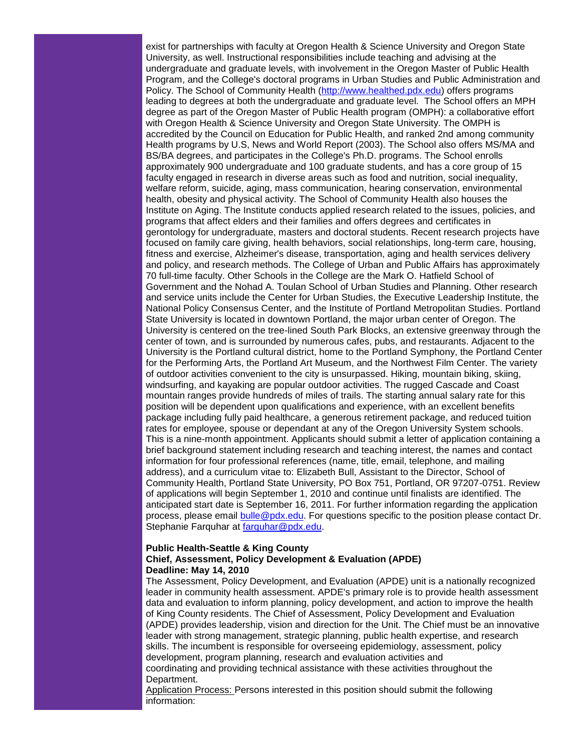exist for partnerships with faculty at Oregon Health & Science University and Oregon State University, as well. Instructional responsibilities include teaching and advising at the undergraduate and graduate levels, with involvement in the Oregon Master of Public Health Program, and the College's doctoral programs in Urban Studies and Public Administration and Policy. The School of Community Health [\(http://www.healthed.pdx.edu\)](http://r20.rs6.net/tn.jsp?et=1103369382426&s=1&e=001lCjIYZaTCtLqOidxJj-eslsBvu2Bk6RlKOfExCMPUkxwvXtJy2tzHJP71qHlLeX24oQK5iZJ-WaYT_1Y-ziX1P3DEMdAka5oUBrSGsk74DMgCNL5oW7jvg==) offers programs leading to degrees at both the undergraduate and graduate level. The School offers an MPH degree as part of the Oregon Master of Public Health program (OMPH): a collaborative effort with Oregon Health & Science University and Oregon State University. The OMPH is accredited by the Council on Education for Public Health, and ranked 2nd among community Health programs by U.S, News and World Report (2003). The School also offers MS/MA and BS/BA degrees, and participates in the College's Ph.D. programs. The School enrolls approximately 900 undergraduate and 100 graduate students, and has a core group of 15 faculty engaged in research in diverse areas such as food and nutrition, social inequality, welfare reform, suicide, aging, mass communication, hearing conservation, environmental health, obesity and physical activity. The School of Community Health also houses the Institute on Aging. The Institute conducts applied research related to the issues, policies, and programs that affect elders and their families and offers degrees and certificates in gerontology for undergraduate, masters and doctoral students. Recent research projects have focused on family care giving, health behaviors, social relationships, long-term care, housing, fitness and exercise, Alzheimer's disease, transportation, aging and health services delivery and policy, and research methods. The College of Urban and Public Affairs has approximately 70 full-time faculty. Other Schools in the College are the Mark O. Hatfield School of Government and the Nohad A. Toulan School of Urban Studies and Planning. Other research and service units include the Center for Urban Studies, the Executive Leadership Institute, the National Policy Consensus Center, and the Institute of Portland Metropolitan Studies. Portland State University is located in downtown Portland, the major urban center of Oregon. The University is centered on the tree-lined South Park Blocks, an extensive greenway through the center of town, and is surrounded by numerous cafes, pubs, and restaurants. Adjacent to the University is the Portland cultural district, home to the Portland Symphony, the Portland Center for the Performing Arts, the Portland Art Museum, and the Northwest Film Center. The variety of outdoor activities convenient to the city is unsurpassed. Hiking, mountain biking, skiing, windsurfing, and kayaking are popular outdoor activities. The rugged Cascade and Coast mountain ranges provide hundreds of miles of trails. The starting annual salary rate for this position will be dependent upon qualifications and experience, with an excellent benefits package including fully paid healthcare, a generous retirement package, and reduced tuition rates for employee, spouse or dependant at any of the Oregon University System schools. This is a nine-month appointment. Applicants should submit a letter of application containing a brief background statement including research and teaching interest, the names and contact information for four professional references (name, title, email, telephone, and mailing address), and a curriculum vitae to: Elizabeth Bull, Assistant to the Director, School of Community Health, Portland State University, PO Box 751, Portland, OR 97207-0751. Review of applications will begin September 1, 2010 and continue until finalists are identified. The anticipated start date is September 16, 2011. For further information regarding the application process, please email [bulle@pdx.edu.](mailto:bulle@pdx.edu) For questions specific to the position please contact Dr. Stephanie Farquhar at [farquhar@pdx.edu.](mailto:farquhar@pdx.edu)

## **Public Health-Seattle & King County Chief, Assessment, Policy Development & Evaluation (APDE) Deadline: May 14, 2010**

The Assessment, Policy Development, and Evaluation (APDE) unit is a nationally recognized leader in community health assessment. APDE's primary role is to provide health assessment data and evaluation to inform planning, policy development, and action to improve the health of King County residents. The Chief of Assessment, Policy Development and Evaluation (APDE) provides leadership, vision and direction for the Unit. The Chief must be an innovative leader with strong management, strategic planning, public health expertise, and research skills. The incumbent is responsible for overseeing epidemiology, assessment, policy development, program planning, research and evaluation activities and coordinating and providing technical assistance with these activities throughout the Department.

Application Process: Persons interested in this position should submit the following information: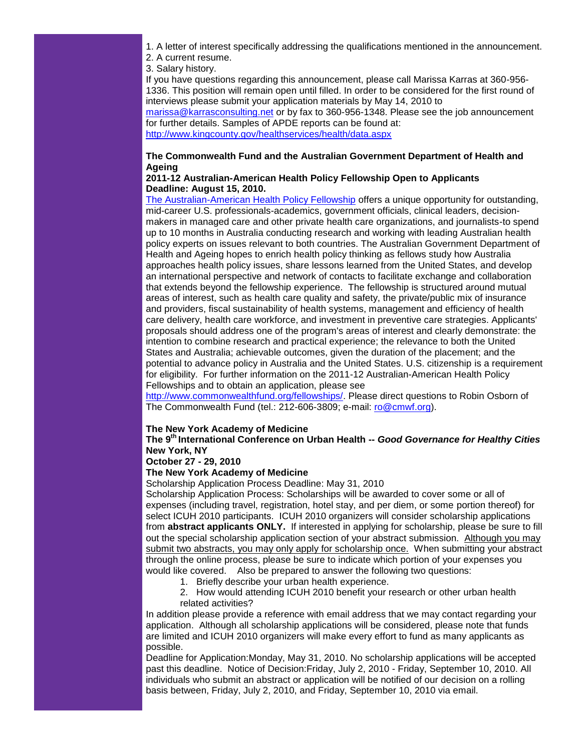1. A letter of interest specifically addressing the qualifications mentioned in the announcement. 2. A current resume.

3. Salary history.

If you have questions regarding this announcement, please call Marissa Karras at 360-956- 1336. This position will remain open until filled. In order to be considered for the first round of interviews please submit your application materials by May 14, 2010 to [marissa@karrasconsulting.net](mailto:marissa@karrasconsulting.net) or by fax to 360-956-1348. Please see the job announcement

for further details. Samples of APDE reports can be found at: [http://www.kingcounty.gov/healthservices/health/data.aspx](http://r20.rs6.net/tn.jsp?et=1103369382426&s=1&e=001lCjIYZaTCtJKMkgiW4NgAfodHi1HcADyYheRxST6MyPIWlP0IWmS3rXI1LoZoG8SfXs16H8NgYnY5oK0y9GCcpwOHUhqCyuHoJu7Z8caAHXdqwp_cyWASSbNlTICuAWK4yZQHO7HnAGagYnQ67leyuNiuYPEEANO)

# **The Commonwealth Fund and the Australian Government Department of Health and Ageing**

# **2011-12 Australian-American Health Policy Fellowship Open to Applicants Deadline: August 15, 2010.**

[The Australian-American Health Policy Fellowship](http://r20.rs6.net/tn.jsp?et=1103369382426&s=1&e=001lCjIYZaTCtLyuuJeL27oO7XL4hZsucMxzo0o1VvQxoj4E-IQfbKOL9PD3dv68Q2FRHYmZ1SLY7NZmORx5aWvUkqApBv-txo15qiCAd1pLPJN-XB3Xj_wrku3Q4JgfzHodxwiSksOsRIUcx3zG-7mtwpRFMkeXKdn5HoxF1v8w_A=) offers a unique opportunity for outstanding, mid-career U.S. professionals-academics, government officials, clinical leaders, decisionmakers in managed care and other private health care organizations, and journalists-to spend up to 10 months in Australia conducting research and working with leading Australian health policy experts on issues relevant to both countries. The Australian Government Department of Health and Ageing hopes to enrich health policy thinking as fellows study how Australia approaches health policy issues, share lessons learned from the United States, and develop an international perspective and network of contacts to facilitate exchange and collaboration that extends beyond the fellowship experience. The fellowship is structured around mutual areas of interest, such as health care quality and safety, the private/public mix of insurance and providers, fiscal sustainability of health systems, management and efficiency of health care delivery, health care workforce, and investment in preventive care strategies. Applicants' proposals should address one of the program's areas of interest and clearly demonstrate: the intention to combine research and practical experience; the relevance to both the United States and Australia; achievable outcomes, given the duration of the placement; and the potential to advance policy in Australia and the United States. U.S. citizenship is a requirement for eligibility. For further information on the 2011-12 Australian-American Health Policy Fellowships and to obtain an application, please see

[http://www.commonwealthfund.org/fellowships/.](http://r20.rs6.net/tn.jsp?et=1103369382426&s=1&e=001lCjIYZaTCtKHpNIv5ebDCzdt6I85N0KHAiSzd_ZaLyX_RsJDQLbArQvw1GB5PekqaLRlUO-jgvLCoQSl689VWGmbf4xL6xGiwH-Z6vm9YtLnmk7mWirvF7nc4Gran6bHQ4oGTMyGZq4DtUMkqiH4D6ic6JtAssopBJ5UXHoqvjI=) Please direct questions to Robin Osborn of The Commonwealth Fund (tel.: 212-606-3809; e-mail: [ro@cmwf.org\)](mailto:ro@cmwf.org).

# **The New York Academy of Medicine**

# **The 9th International Conference on Urban Health --** *Good Governance for Healthy Cities*  **New York, NY**

## **October 27 - 29, 2010**

# **The New York Academy of Medicine**

Scholarship Application Process Deadline: May 31, 2010

Scholarship Application Process: Scholarships will be awarded to cover some or all of expenses (including travel, registration, hotel stay, and per diem, or some portion thereof) for select ICUH 2010 participants. ICUH 2010 organizers will consider scholarship applications from **abstract applicants ONLY.** If interested in applying for scholarship, please be sure to fill out the special scholarship application section of your abstract submission. Although you may submit two abstracts, you may only apply for scholarship once. When submitting your abstract through the online process, please be sure to indicate which portion of your expenses you would like covered. Also be prepared to answer the following two questions:

- 1. Briefly describe your urban health experience.
- 2. How would attending ICUH 2010 benefit your research or other urban health related activities?

In addition please provide a reference with email address that we may contact regarding your application. Although all scholarship applications will be considered, please note that funds are limited and ICUH 2010 organizers will make every effort to fund as many applicants as possible.

Deadline for Application:Monday, May 31, 2010. No scholarship applications will be accepted past this deadline. Notice of Decision:Friday, July 2, 2010 - Friday, September 10, 2010. All individuals who submit an abstract or application will be notified of our decision on a rolling basis between, Friday, July 2, 2010, and Friday, September 10, 2010 via email.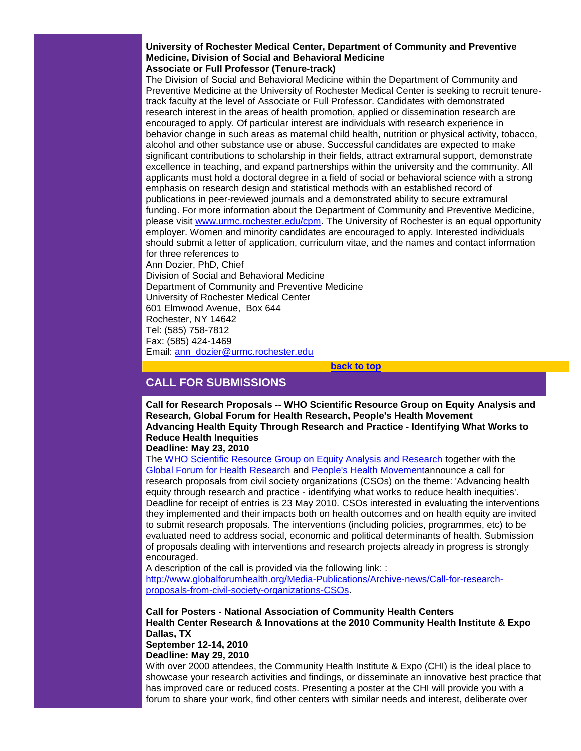**University of Rochester Medical Center, Department of Community and Preventive Medicine, Division of Social and Behavioral Medicine Associate or Full Professor (Tenure-track)**

The Division of Social and Behavioral Medicine within the Department of Community and Preventive Medicine at the University of Rochester Medical Center is seeking to recruit tenuretrack faculty at the level of Associate or Full Professor. Candidates with demonstrated research interest in the areas of health promotion, applied or dissemination research are encouraged to apply. Of particular interest are individuals with research experience in behavior change in such areas as maternal child health, nutrition or physical activity, tobacco, alcohol and other substance use or abuse. Successful candidates are expected to make significant contributions to scholarship in their fields, attract extramural support, demonstrate excellence in teaching, and expand partnerships within the university and the community. All applicants must hold a doctoral degree in a field of social or behavioral science with a strong emphasis on research design and statistical methods with an established record of publications in peer-reviewed journals and a demonstrated ability to secure extramural funding. For more information about the Department of Community and Preventive Medicine, please visit [www.urmc.rochester.edu/cpm.](http://r20.rs6.net/tn.jsp?et=1103369382426&s=1&e=001lCjIYZaTCtKUjwu6m3z5XnO5DnBS4WMuJbPXvtmh2GAT1jyyHUo8K4fDfHPtgSBAwF1SgcHBRVwmY4ATKjdEPofOR1xmNgthuqZI0wFzFKyeWIgUm7TCXQ911Mog_N0Y) The University of Rochester is an equal opportunity employer. Women and minority candidates are encouraged to apply. Interested individuals should submit a letter of application, curriculum vitae, and the names and contact information for three references to

Ann Dozier, PhD, Chief Division of Social and Behavioral Medicine Department of Community and Preventive Medicine University of Rochester Medical Center 601 Elmwood Avenue, Box 644 Rochester, NY 14642 Tel: (585) 758-7812 Fax: (585) 424-1469 Email: [ann\\_dozier@urmc.rochester.edu](mailto:ann_dozier@urmc.rochester.edu)

**[back to top](#page-0-1)**

# <span id="page-9-0"></span>**CALL FOR SUBMISSIONS**

**Call for Research Proposals -- WHO Scientific Resource Group on Equity Analysis and Research, Global Forum for Health Research, People's Health Movement Advancing Health Equity Through Research and Practice - Identifying What Works to Reduce Health Inequities Deadline: May 23, 2010**

The [WHO Scientific Resource Group on Equity Analysis and Research](http://r20.rs6.net/tn.jsp?et=1103369382426&s=1&e=001lCjIYZaTCtKyDrmileAQTaJDQLxIkZoJPBPbw2F-jvtUdb8wcyj_QSsdZvJSHJVtxlVwr7gGXtaPDKV8QcctS9heKo-PahZz8-vgXYbQDDPvC1tNFnOHvw==) together with the [Global Forum for Health Research](http://r20.rs6.net/tn.jsp?et=1103369382426&s=1&e=001lCjIYZaTCtKs3Li1_6_40Il5_Wh-sQAWVfIoef34VI45XvLsIpd-hQzcb2hLVTbhrzFmtid9Ud0ow-qnOvvv5nUCQ_y9XOFgAaoO1K74HqgTTDS0dpK2Yz-KIVe6fOX_) and [People's Health Movementa](http://r20.rs6.net/tn.jsp?et=1103369382426&s=1&e=001lCjIYZaTCtKiqmhKFr7VMQoP3EzOtK8IgGq455GjtoJ3T2PHMjRF-G2EZFRHox0QhzwEBhfb6W-deRuk_2P6XJa-JKLPrrf9fpYvXAZQYUK6l4lLZ992Fg==)nnounce a call for research proposals from civil society organizations (CSOs) on the theme: 'Advancing health equity through research and practice - identifying what works to reduce health inequities'. Deadline for receipt of entries is 23 May 2010. CSOs interested in evaluating the interventions they implemented and their impacts both on health outcomes and on health equity are invited to submit research proposals. The interventions (including policies, programmes, etc) to be evaluated need to address social, economic and political determinants of health. Submission of proposals dealing with interventions and research projects already in progress is strongly encouraged.

A description of the call is provided via the following link: : [http://www.globalforumhealth.org/Media-Publications/Archive-news/Call-for-research](http://r20.rs6.net/tn.jsp?et=1103369382426&s=1&e=001lCjIYZaTCtJ9A1iIAYSd2vCWLXrAxVPA9iummZCph5wnBTcR0KRC6tm0pOW_qY4CdWo81P4FMA1B8GdRCeWd1qE6rIHS5Qv7LKt7hwqe2CucnQ8IYu-FKZEsFHwm2lR109FwU-l-N2_ly-RdQSf-HAgkjvsrygbkwZ8TZG4xjJzMAPwY06a8-8I0USdu7ZXLllZUbRDL4oC8LK4iGu8Dwoz0zzCJKgf9jQDNPGgdSaqTtCabcpLw3w4kTxioAzdn)[proposals-from-civil-society-organizations-CSOs.](http://r20.rs6.net/tn.jsp?et=1103369382426&s=1&e=001lCjIYZaTCtJ9A1iIAYSd2vCWLXrAxVPA9iummZCph5wnBTcR0KRC6tm0pOW_qY4CdWo81P4FMA1B8GdRCeWd1qE6rIHS5Qv7LKt7hwqe2CucnQ8IYu-FKZEsFHwm2lR109FwU-l-N2_ly-RdQSf-HAgkjvsrygbkwZ8TZG4xjJzMAPwY06a8-8I0USdu7ZXLllZUbRDL4oC8LK4iGu8Dwoz0zzCJKgf9jQDNPGgdSaqTtCabcpLw3w4kTxioAzdn)

**Call for Posters - National Association of Community Health Centers Health Center Research & Innovations at the 2010 Community Health Institute & Expo Dallas, TX**

**September 12-14, 2010 Deadline: May 29, 2010**

With over 2000 attendees, the Community Health Institute & Expo (CHI) is the ideal place to showcase your research activities and findings, or disseminate an innovative best practice that has improved care or reduced costs. Presenting a poster at the CHI will provide you with a forum to share your work, find other centers with similar needs and interest, deliberate over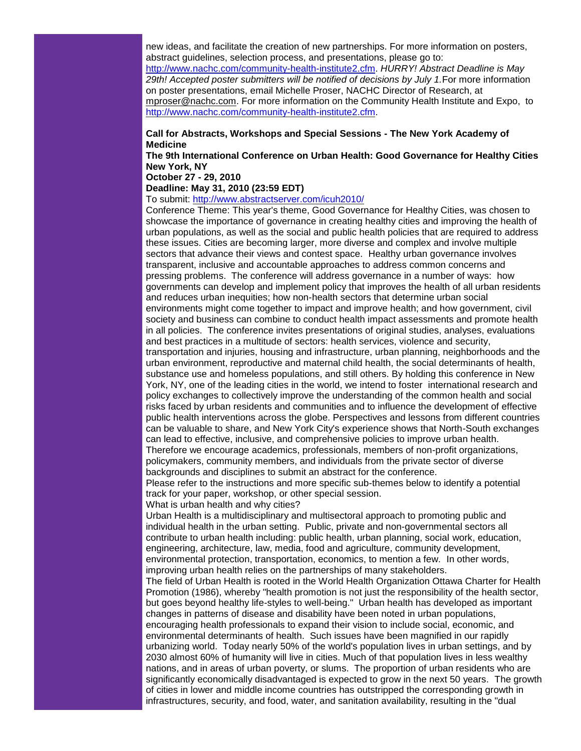new ideas, and facilitate the creation of new partnerships. For more information on posters, abstract guidelines, selection process, and presentations, please go to: [http://www.nachc.com/community-health-institute2.cfm.](http://r20.rs6.net/tn.jsp?et=1103369382426&s=1&e=001lCjIYZaTCtKxAB_3eLaF4oZqjBpXRd2g0a1l297F837CbiksHPkS9EgxvDcg71VPGiXEuROw6_D8Vmvi2jPtLYxBI7oGcVkmOncMGIHQxFKEV-lYKPhRPuDPzlzoEw0_FALrKPURm3X1ZzSNEbWHqA==) *HURRY! Abstract Deadline is May 29th! Accepted poster submitters will be notified of decisions by July 1.*For more information on poster presentations, email Michelle Proser, NACHC Director of Research, at [mproser@nachc.com.](mailto:mproser@nachc.com) For more information on the Community Health Institute and Expo, to [http://www.nachc.com/community-health-institute2.cfm.](http://r20.rs6.net/tn.jsp?et=1103369382426&s=1&e=001lCjIYZaTCtKxAB_3eLaF4oZqjBpXRd2g0a1l297F837CbiksHPkS9EgxvDcg71VPGiXEuROw6_D8Vmvi2jPtLYxBI7oGcVkmOncMGIHQxFKEV-lYKPhRPuDPzlzoEw0_FALrKPURm3X1ZzSNEbWHqA==)

# **Call for Abstracts, Workshops and Special Sessions - The New York Academy of Medicine**

**The 9th International Conference on Urban Health: Good Governance for Healthy Cities New York, NY**

**October 27 - 29, 2010** 

# **Deadline: May 31, 2010 (23:59 EDT)**

To submit: [http://www.abstractserver.com/icuh2010/](http://r20.rs6.net/tn.jsp?et=1103369382426&s=1&e=001lCjIYZaTCtIxVdwypjBpXcT6W9uubGBoAQnVWDqTXDJvVW3bCdYMxYWPGEgphM5UYxQB5-SGG6u6FRzOTd2_1WcRAuvhOI3pozbydlOjDX6Bicde8L9C1NnsZMGXi6bx0-K-fTDv620=)

Conference Theme: This year's theme, Good Governance for Healthy Cities, was chosen to showcase the importance of governance in creating healthy cities and improving the health of urban populations, as well as the social and public health policies that are required to address these issues. Cities are becoming larger, more diverse and complex and involve multiple sectors that advance their views and contest space. Healthy urban governance involves transparent, inclusive and accountable approaches to address common concerns and pressing problems. The conference will address governance in a number of ways: how governments can develop and implement policy that improves the health of all urban residents and reduces urban inequities; how non-health sectors that determine urban social environments might come together to impact and improve health; and how government, civil society and business can combine to conduct health impact assessments and promote health in all policies. The conference invites presentations of original studies, analyses, evaluations and best practices in a multitude of sectors: health services, violence and security, transportation and injuries, housing and infrastructure, urban planning, neighborhoods and the urban environment, reproductive and maternal child health, the social determinants of health, substance use and homeless populations, and still others. By holding this conference in New York, NY, one of the leading cities in the world, we intend to foster international research and policy exchanges to collectively improve the understanding of the common health and social risks faced by urban residents and communities and to influence the development of effective public health interventions across the globe. Perspectives and lessons from different countries can be valuable to share, and New York City's experience shows that North-South exchanges can lead to effective, inclusive, and comprehensive policies to improve urban health. Therefore we encourage academics, professionals, members of non-profit organizations, policymakers, community members, and individuals from the private sector of diverse

backgrounds and disciplines to submit an abstract for the conference.

Please refer to the instructions and more specific sub-themes below to identify a potential track for your paper, workshop, or other special session.

What is urban health and why cities?

Urban Health is a multidisciplinary and multisectoral approach to promoting public and individual health in the urban setting. Public, private and non-governmental sectors all contribute to urban health including: public health, urban planning, social work, education, engineering, architecture, law, media, food and agriculture, community development, environmental protection, transportation, economics, to mention a few. In other words, improving urban health relies on the partnerships of many stakeholders.

The field of Urban Health is rooted in the World Health Organization Ottawa Charter for Health Promotion (1986), whereby "health promotion is not just the responsibility of the health sector, but goes beyond healthy life-styles to well-being." Urban health has developed as important changes in patterns of disease and disability have been noted in urban populations, encouraging health professionals to expand their vision to include social, economic, and environmental determinants of health. Such issues have been magnified in our rapidly urbanizing world. Today nearly 50% of the world's population lives in urban settings, and by 2030 almost 60% of humanity will live in cities. Much of that population lives in less wealthy nations, and in areas of urban poverty, or slums. The proportion of urban residents who are significantly economically disadvantaged is expected to grow in the next 50 years. The growth of cities in lower and middle income countries has outstripped the corresponding growth in infrastructures, security, and food, water, and sanitation availability, resulting in the "dual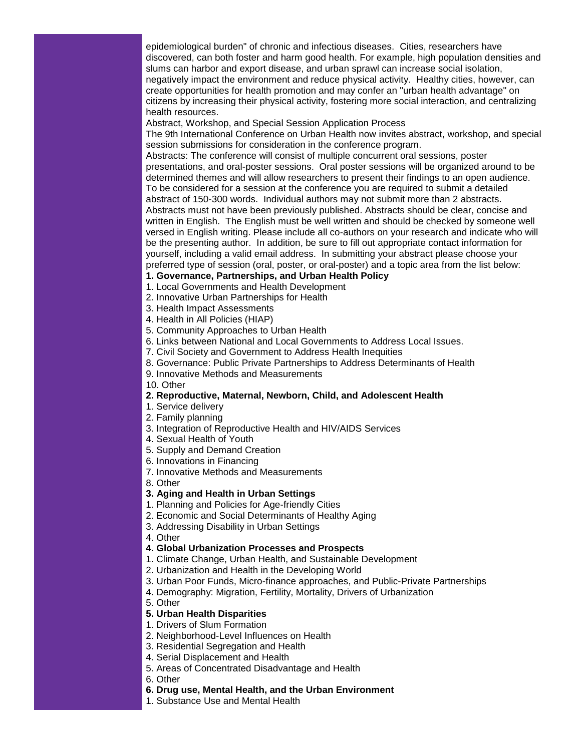epidemiological burden" of chronic and infectious diseases. Cities, researchers have discovered, can both foster and harm good health. For example, high population densities and slums can harbor and export disease, and urban sprawl can increase social isolation, negatively impact the environment and reduce physical activity. Healthy cities, however, can create opportunities for health promotion and may confer an "urban health advantage" on citizens by increasing their physical activity, fostering more social interaction, and centralizing health resources.

Abstract, Workshop, and Special Session Application Process

The 9th International Conference on Urban Health now invites abstract, workshop, and special session submissions for consideration in the conference program.

Abstracts: The conference will consist of multiple concurrent oral sessions, poster presentations, and oral-poster sessions. Oral poster sessions will be organized around to be determined themes and will allow researchers to present their findings to an open audience. To be considered for a session at the conference you are required to submit a detailed abstract of 150-300 words. Individual authors may not submit more than 2 abstracts. Abstracts must not have been previously published. Abstracts should be clear, concise and written in English. The English must be well written and should be checked by someone well versed in English writing. Please include all co-authors on your research and indicate who will be the presenting author. In addition, be sure to fill out appropriate contact information for yourself, including a valid email address. In submitting your abstract please choose your preferred type of session (oral, poster, or oral-poster) and a topic area from the list below:

## **1. Governance, Partnerships, and Urban Health Policy**

- 1. Local Governments and Health Development
- 2. Innovative Urban Partnerships for Health
- 3. Health Impact Assessments
- 4. Health in All Policies (HIAP)
- 5. Community Approaches to Urban Health
- 6. Links between National and Local Governments to Address Local Issues.
- 7. Civil Society and Government to Address Health Inequities
- 8. Governance: Public Private Partnerships to Address Determinants of Health
- 9. Innovative Methods and Measurements
- 10. Other

## **2. Reproductive, Maternal, Newborn, Child, and Adolescent Health**

- 1. Service delivery
- 2. Family planning
- 3. Integration of Reproductive Health and HIV/AIDS Services
- 4. Sexual Health of Youth
- 5. Supply and Demand Creation
- 6. Innovations in Financing
- 7. Innovative Methods and Measurements
- 8. Other

### **3. Aging and Health in Urban Settings**

- 1. Planning and Policies for Age-friendly Cities
- 2. Economic and Social Determinants of Healthy Aging
- 3. Addressing Disability in Urban Settings
- 4. Other

#### **4. Global Urbanization Processes and Prospects**

- 1. Climate Change, Urban Health, and Sustainable Development
- 2. Urbanization and Health in the Developing World
- 3. Urban Poor Funds, Micro-finance approaches, and Public-Private Partnerships
- 4. Demography: Migration, Fertility, Mortality, Drivers of Urbanization
- 5. Other

## **5. Urban Health Disparities**

- 1. Drivers of Slum Formation
- 2. Neighborhood-Level Influences on Health
- 3. Residential Segregation and Health
- 4. Serial Displacement and Health
- 5. Areas of Concentrated Disadvantage and Health
- 6. Other
- **6. Drug use, Mental Health, and the Urban Environment**
- 1. Substance Use and Mental Health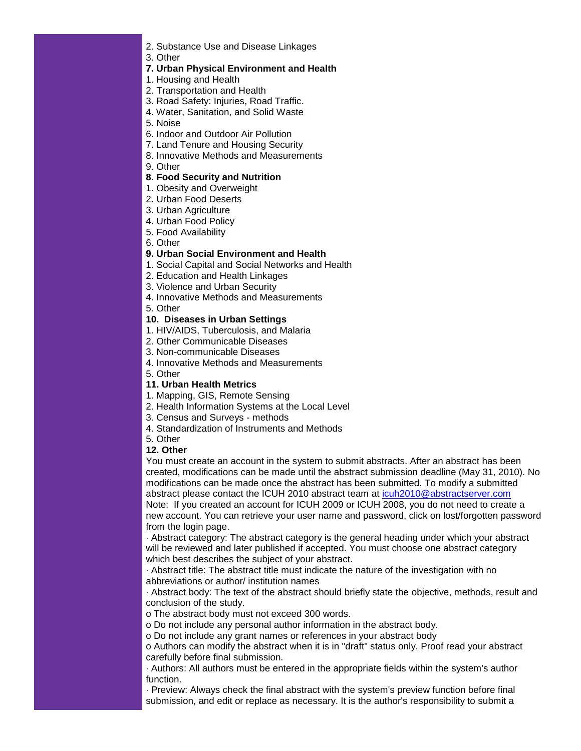- 2. Substance Use and Disease Linkages
- 3. Other
- **7. Urban Physical Environment and Health**
- 1. Housing and Health
- 2. Transportation and Health
- 3. Road Safety: Injuries, Road Traffic.
- 4. Water, Sanitation, and Solid Waste
- 5. Noise
- 6. Indoor and Outdoor Air Pollution
- 7. Land Tenure and Housing Security
- 8. Innovative Methods and Measurements
- 9. Other

# **8. Food Security and Nutrition**

- 1. Obesity and Overweight
- 2. Urban Food Deserts
- 3. Urban Agriculture
- 4. Urban Food Policy
- 5. Food Availability
- 6. Other

## **9. Urban Social Environment and Health**

- 1. Social Capital and Social Networks and Health
- 2. Education and Health Linkages
- 3. Violence and Urban Security
- 4. Innovative Methods and Measurements
- 5. Other

## **10. Diseases in Urban Settings**

- 1. HIV/AIDS, Tuberculosis, and Malaria
- 2. Other Communicable Diseases
- 3. Non-communicable Diseases
- 4. Innovative Methods and Measurements
- 5. Other

## **11. Urban Health Metrics**

- 1. Mapping, GIS, Remote Sensing
- 2. Health Information Systems at the Local Level
- 3. Census and Surveys methods
- 4. Standardization of Instruments and Methods

# 5. Other

## **12. Other**

You must create an account in the system to submit abstracts. After an abstract has been created, modifications can be made until the abstract submission deadline (May 31, 2010). No modifications can be made once the abstract has been submitted. To modify a submitted abstract please contact the ICUH 2010 abstract team at [icuh2010@abstractserver.com](mailto:icuh2010@abstractserver.com) Note: If you created an account for ICUH 2009 or ICUH 2008, you do not need to create a new account. You can retrieve your user name and password, click on lost/forgotten password from the login page.

· Abstract category: The abstract category is the general heading under which your abstract will be reviewed and later published if accepted. You must choose one abstract category which best describes the subject of your abstract.

· Abstract title: The abstract title must indicate the nature of the investigation with no abbreviations or author/ institution names

· Abstract body: The text of the abstract should briefly state the objective, methods, result and conclusion of the study.

o The abstract body must not exceed 300 words.

o Do not include any personal author information in the abstract body.

o Do not include any grant names or references in your abstract body

o Authors can modify the abstract when it is in "draft" status only. Proof read your abstract carefully before final submission.

· Authors: All authors must be entered in the appropriate fields within the system's author function.

· Preview: Always check the final abstract with the system's preview function before final submission, and edit or replace as necessary. It is the author's responsibility to submit a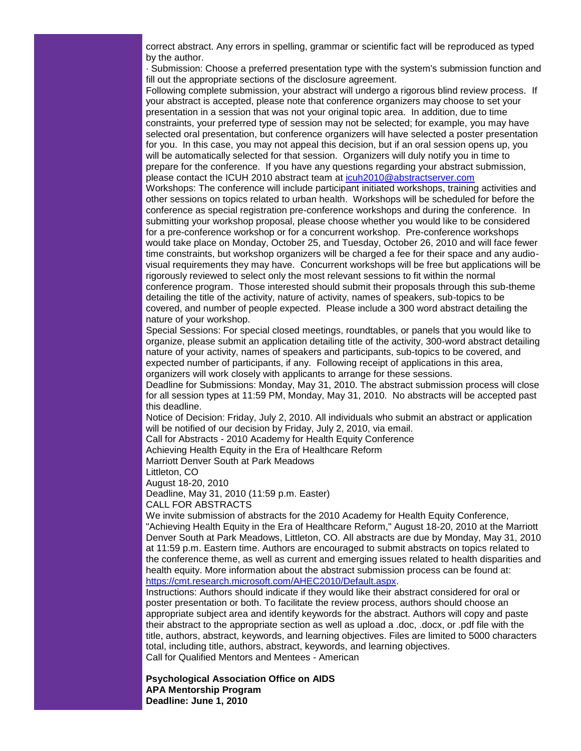correct abstract. Any errors in spelling, grammar or scientific fact will be reproduced as typed by the author.

· Submission: Choose a preferred presentation type with the system's submission function and fill out the appropriate sections of the disclosure agreement.

Following complete submission, your abstract will undergo a rigorous blind review process. If your abstract is accepted, please note that conference organizers may choose to set your presentation in a session that was not your original topic area. In addition, due to time constraints, your preferred type of session may not be selected; for example, you may have selected oral presentation, but conference organizers will have selected a poster presentation for you. In this case, you may not appeal this decision, but if an oral session opens up, you will be automatically selected for that session. Organizers will duly notify you in time to prepare for the conference. If you have any questions regarding your abstract submission, please contact the ICUH 2010 abstract team at [icuh2010@abstractserver.com](mailto:icuh2010@abstractserver.com)

Workshops: The conference will include participant initiated workshops, training activities and other sessions on topics related to urban health. Workshops will be scheduled for before the conference as special registration pre-conference workshops and during the conference. In submitting your workshop proposal, please choose whether you would like to be considered for a pre-conference workshop or for a concurrent workshop. Pre-conference workshops would take place on Monday, October 25, and Tuesday, October 26, 2010 and will face fewer time constraints, but workshop organizers will be charged a fee for their space and any audiovisual requirements they may have. Concurrent workshops will be free but applications will be rigorously reviewed to select only the most relevant sessions to fit within the normal conference program. Those interested should submit their proposals through this sub-theme detailing the title of the activity, nature of activity, names of speakers, sub-topics to be covered, and number of people expected. Please include a 300 word abstract detailing the nature of your workshop.

Special Sessions: For special closed meetings, roundtables, or panels that you would like to organize, please submit an application detailing title of the activity, 300-word abstract detailing nature of your activity, names of speakers and participants, sub-topics to be covered, and expected number of participants, if any. Following receipt of applications in this area, organizers will work closely with applicants to arrange for these sessions.

Deadline for Submissions: Monday, May 31, 2010. The abstract submission process will close for all session types at 11:59 PM, Monday, May 31, 2010. No abstracts will be accepted past this deadline.

Notice of Decision: Friday, July 2, 2010. All individuals who submit an abstract or application will be notified of our decision by Friday, July 2, 2010, via email.

Call for Abstracts - 2010 Academy for Health Equity Conference

Achieving Health Equity in the Era of Healthcare Reform

Marriott Denver South at Park Meadows

Littleton, CO

August 18-20, 2010

Deadline, May 31, 2010 (11:59 p.m. Easter)

CALL FOR ABSTRACTS

We invite submission of abstracts for the 2010 Academy for Health Equity Conference, "Achieving Health Equity in the Era of Healthcare Reform," August 18-20, 2010 at the Marriott Denver South at Park Meadows, Littleton, CO. All abstracts are due by Monday, May 31, 2010 at 11:59 p.m. Eastern time. Authors are encouraged to submit abstracts on topics related to the conference theme, as well as current and emerging issues related to health disparities and health equity. More information about the abstract submission process can be found at: [https://cmt.research.microsoft.com/AHEC2010/Default.aspx.](http://r20.rs6.net/tn.jsp?et=1103369382426&s=1&e=001lCjIYZaTCtIaoOdD7OuHnUw-bd95bJASEY8SdlVRL2jCMon1bUERamoZlglj0TGONQuvEb10qg_Aw7ioDWT-Kx9xPXDodLiw3LDy0YLNy4vVUOoefbqwCD-krG6-YhjIUIGF-9WRp71eTUCungzDAGLPEoEtXIrl)

Instructions: Authors should indicate if they would like their abstract considered for oral or poster presentation or both. To facilitate the review process, authors should choose an appropriate subject area and identify keywords for the abstract. Authors will copy and paste their abstract to the appropriate section as well as upload a .doc, .docx, or .pdf file with the title, authors, abstract, keywords, and learning objectives. Files are limited to 5000 characters total, including title, authors, abstract, keywords, and learning objectives. Call for Qualified Mentors and Mentees - American

**Psychological Association Office on AIDS APA Mentorship Program Deadline: June 1, 2010**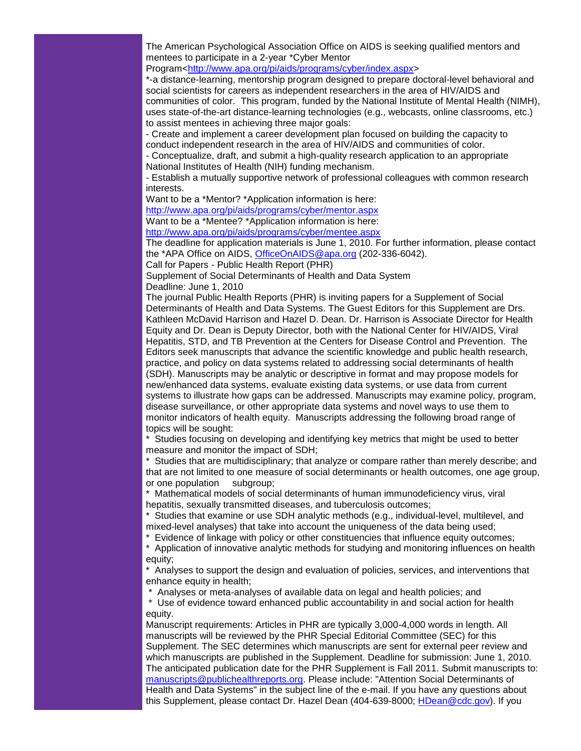The American Psychological Association Office on AIDS is seeking qualified mentors and mentees to participate in a 2-year \*Cyber Mentor

Program[<http://www.apa.org/pi/aids/programs/cyber/index.aspx>](http://r20.rs6.net/tn.jsp?et=1103369382426&s=1&e=001lCjIYZaTCtLvdkAwDwrYUvQC7HxQMxkSJFrUwrw7-TqqXJNLQtE2M_4WfXubu45ETJgtlXtlI3ddDX7YkzkaOyT6uzzIF4IbzqG51KX7cue4SbET5OzbILdR11oS2C2-fbMt5LjAb8ake9bs6EK3u7IRVOPEfsel)

\*-a distance-learning, mentorship program designed to prepare doctoral-level behavioral and social scientists for careers as independent researchers in the area of HIV/AIDS and communities of color. This program, funded by the National Institute of Mental Health (NIMH), uses state-of-the-art distance-learning technologies (e.g., webcasts, online classrooms, etc.) to assist mentees in achieving three major goals:

- Create and implement a career development plan focused on building the capacity to conduct independent research in the area of HIV/AIDS and communities of color.

- Conceptualize, draft, and submit a high-quality research application to an appropriate National Institutes of Health (NIH) funding mechanism.

- Establish a mutually supportive network of professional colleagues with common research interests.

Want to be a \*Mentor? \*Application information is here:

[http://www.apa.org/pi/aids/programs/cyber/mentor.aspx](http://r20.rs6.net/tn.jsp?et=1103369382426&s=1&e=001lCjIYZaTCtLa2EMWXdbF2ww7I1ya-Qax7GUG2SA9oAdK07HTNW9wpvrliioyimqzazrC63KXK2NmMdFs15FvzY7T6-R1B_vjcZyH5h0fkMlGEp_oiNACMZ0__LrP343Gmrt-M-GFskXGr9oB9gMY93Rv7StAjFtG)

Want to be a \*Mentee? \*Application information is here:

[http://www.apa.org/pi/aids/programs/cyber/mentee.aspx](http://r20.rs6.net/tn.jsp?et=1103369382426&s=1&e=001lCjIYZaTCtLnWzNUGNovPSOhCz5cJXbx0auDPnjF-aQZiGu7uLIo-E3VoY2GBg9MnkYWpL5PDfyOo2oKx9AkDnaIqLfBnnSPxnfxOnrPQbQD0JmRtBrYlavKm-VMBT8Rf2Nw1bBGjmvAhypcOzUBpzj3VpG5pSrS)

The deadline for application materials is June 1, 2010. For further information, please contact the \*APA Office on AIDS, [OfficeOnAIDS@apa.org](mailto:OfficeOnAIDS@apa.org) (202-336-6042).

Call for Papers - Public Health Report (PHR)

Supplement of Social Determinants of Health and Data System Deadline: June 1, 2010

The journal Public Health Reports (PHR) is inviting papers for a Supplement of Social Determinants of Health and Data Systems. The Guest Editors for this Supplement are Drs. Kathleen McDavid Harrison and Hazel D. Dean. Dr. Harrison is Associate Director for Health Equity and Dr. Dean is Deputy Director, both with the National Center for HIV/AIDS, Viral Hepatitis, STD, and TB Prevention at the Centers for Disease Control and Prevention. The Editors seek manuscripts that advance the scientific knowledge and public health research, practice, and policy on data systems related to addressing social determinants of health (SDH). Manuscripts may be analytic or descriptive in format and may propose models for new/enhanced data systems, evaluate existing data systems, or use data from current systems to illustrate how gaps can be addressed. Manuscripts may examine policy, program, disease surveillance, or other appropriate data systems and novel ways to use them to monitor indicators of health equity. Manuscripts addressing the following broad range of topics will be sought:

\* Studies focusing on developing and identifying key metrics that might be used to better measure and monitor the impact of SDH;

\* Studies that are multidisciplinary; that analyze or compare rather than merely describe; and that are not limited to one measure of social determinants or health outcomes, one age group, or one population subgroup;

\* Mathematical models of social determinants of human immunodeficiency virus, viral hepatitis, sexually transmitted diseases, and tuberculosis outcomes;

\* Studies that examine or use SDH analytic methods (e.g., individual-level, multilevel, and mixed-level analyses) that take into account the uniqueness of the data being used;

\* Evidence of linkage with policy or other constituencies that influence equity outcomes;

\* Application of innovative analytic methods for studying and monitoring influences on health equity;

\* Analyses to support the design and evaluation of policies, services, and interventions that enhance equity in health;

\* Analyses or meta-analyses of available data on legal and health policies; and

\* Use of evidence toward enhanced public accountability in and social action for health equity.

Manuscript requirements: Articles in PHR are typically 3,000-4,000 words in length. All manuscripts will be reviewed by the PHR Special Editorial Committee (SEC) for this Supplement. The SEC determines which manuscripts are sent for external peer review and which manuscripts are published in the Supplement. Deadline for submission: June 1, 2010. The anticipated publication date for the PHR Supplement is Fall 2011. Submit manuscripts to: [manuscripts@publichealthreports.org.](mailto:manuscripts@publichealthreports.org) Please include: "Attention Social Determinants of Health and Data Systems" in the subject line of the e-mail. If you have any questions about this Supplement, please contact Dr. Hazel Dean (404-639-8000; [HDean@cdc.gov\)](mailto:HDean@cdc.gov). If you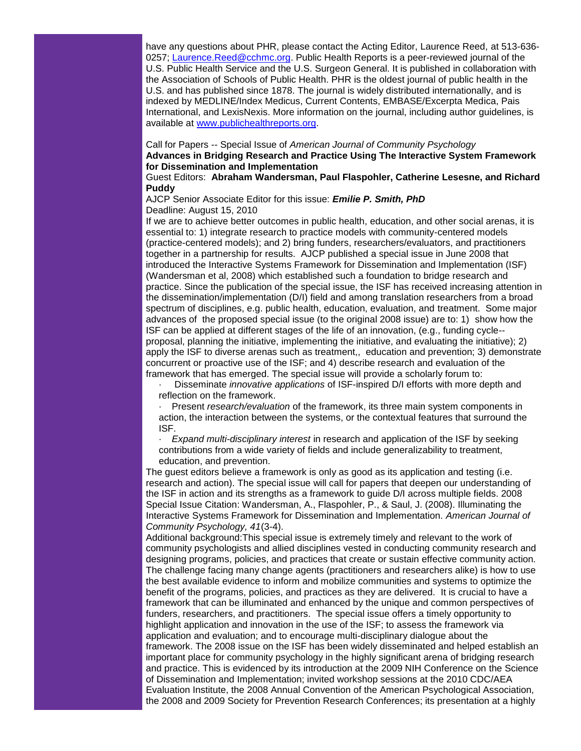have any questions about PHR, please contact the Acting Editor, Laurence Reed, at 513-636- 0257; [Laurence.Reed@cchmc.org.](mailto:Laurence.Reed@cchmc.org) Public Health Reports is a peer-reviewed journal of the U.S. Public Health Service and the U.S. Surgeon General. It is published in collaboration with the Association of Schools of Public Health. PHR is the oldest journal of public health in the U.S. and has published since 1878. The journal is widely distributed internationally, and is indexed by MEDLINE/Index Medicus, Current Contents, EMBASE/Excerpta Medica, Pais International, and LexisNexis. More information on the journal, including author guidelines, is available at [www.publichealthreports.org.](http://r20.rs6.net/tn.jsp?et=1103369382426&s=1&e=001lCjIYZaTCtL_N13s5lU04HpTJineKxFBuRhaZ-SNsvm_5eqfKfaSHPXyOLnRDECVuZ0T6lb3-L6eXw10Sz4bIdEppXAB-H5NNTTrbsVsOLcFoJszX68LGDIs9VA_Rpxl)

Call for Papers -- Special Issue of *American Journal of Community Psychology* **Advances in Bridging Research and Practice Using The Interactive System Framework for Dissemination and Implementation**

Guest Editors: **Abraham Wandersman, Paul Flaspohler, Catherine Lesesne, and Richard Puddy**

AJCP Senior Associate Editor for this issue: *Emilie P. Smith, PhD* Deadline: August 15, 2010

If we are to achieve better outcomes in public health, education, and other social arenas, it is essential to: 1) integrate research to practice models with community-centered models (practice-centered models); and 2) bring funders, researchers/evaluators, and practitioners together in a partnership for results. AJCP published a special issue in June 2008 that introduced the Interactive Systems Framework for Dissemination and Implementation (ISF) (Wandersman et al, 2008) which established such a foundation to bridge research and practice. Since the publication of the special issue, the ISF has received increasing attention in the dissemination/implementation (D/I) field and among translation researchers from a broad spectrum of disciplines, e.g. public health, education, evaluation, and treatment. Some major advances of the proposed special issue (to the original 2008 issue) are to: 1) show how the ISF can be applied at different stages of the life of an innovation, (e.g., funding cycle- proposal, planning the initiative, implementing the initiative, and evaluating the initiative); 2) apply the ISF to diverse arenas such as treatment,, education and prevention; 3) demonstrate concurrent or proactive use of the ISF; and 4) describe research and evaluation of the framework that has emerged. The special issue will provide a scholarly forum to:

· Disseminate *innovative applications* of ISF-inspired D/I efforts with more depth and reflection on the framework.

Present *research/evaluation* of the framework, its three main system components in action, the interaction between the systems, or the contextual features that surround the ISF.

· *Expand multi-disciplinary interest* in research and application of the ISF by seeking contributions from a wide variety of fields and include generalizability to treatment, education, and prevention.

The guest editors believe a framework is only as good as its application and testing (i.e. research and action). The special issue will call for papers that deepen our understanding of the ISF in action and its strengths as a framework to guide D/I across multiple fields. 2008 Special Issue Citation: Wandersman, A., Flaspohler, P., & Saul, J. (2008). Illuminating the Interactive Systems Framework for Dissemination and Implementation. *American Journal of Community Psychology, 41*(3-4).

Additional background:This special issue is extremely timely and relevant to the work of community psychologists and allied disciplines vested in conducting community research and designing programs, policies, and practices that create or sustain effective community action. The challenge facing many change agents (practitioners and researchers alike) is how to use the best available evidence to inform and mobilize communities and systems to optimize the benefit of the programs, policies, and practices as they are delivered. It is crucial to have a framework that can be illuminated and enhanced by the unique and common perspectives of funders, researchers, and practitioners. The special issue offers a timely opportunity to highlight application and innovation in the use of the ISF; to assess the framework via application and evaluation; and to encourage multi-disciplinary dialogue about the framework. The 2008 issue on the ISF has been widely disseminated and helped establish an important place for community psychology in the highly significant arena of bridging research and practice. This is evidenced by its introduction at the 2009 NIH Conference on the Science of Dissemination and Implementation; invited workshop sessions at the 2010 CDC/AEA Evaluation Institute, the 2008 Annual Convention of the American Psychological Association, the 2008 and 2009 Society for Prevention Research Conferences; its presentation at a highly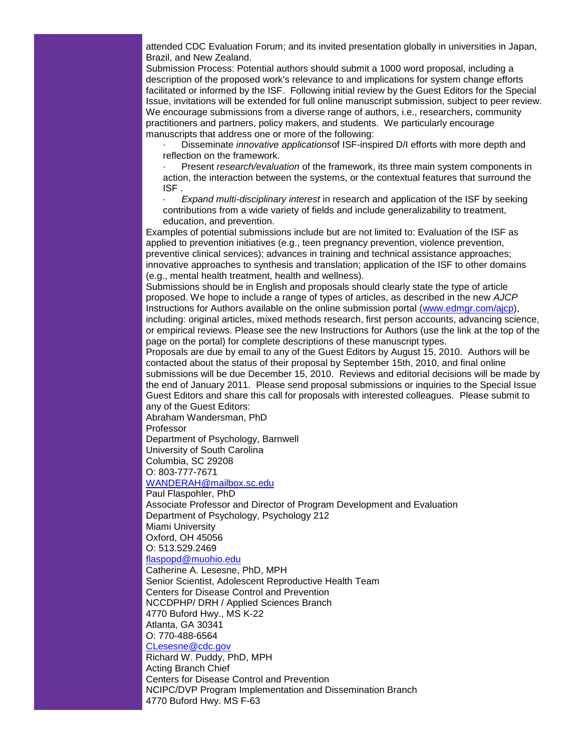attended CDC Evaluation Forum; and its invited presentation globally in universities in Japan, Brazil, and New Zealand.

Submission Process: Potential authors should submit a 1000 word proposal, including a description of the proposed work's relevance to and implications for system change efforts facilitated or informed by the ISF. Following initial review by the Guest Editors for the Special Issue, invitations will be extended for full online manuscript submission, subject to peer review. We encourage submissions from a diverse range of authors, i.e., researchers, community practitioners and partners, policy makers, and students. We particularly encourage manuscripts that address one or more of the following:

· Disseminate *innovative applications*of ISF-inspired D/I efforts with more depth and reflection on the framework.

· Present *research/evaluation* of the framework, its three main system components in action, the interaction between the systems, or the contextual features that surround the ISF .

· *Expand multi-disciplinary interest* in research and application of the ISF by seeking contributions from a wide variety of fields and include generalizability to treatment, education, and prevention.

Examples of potential submissions include but are not limited to: Evaluation of the ISF as applied to prevention initiatives (e.g., teen pregnancy prevention, violence prevention, preventive clinical services); advances in training and technical assistance approaches; innovative approaches to synthesis and translation; application of the ISF to other domains (e.g., mental health treatment, health and wellness).

Submissions should be in English and proposals should clearly state the type of article proposed. We hope to include a range of types of articles, as described in the new *AJCP* Instructions for Authors available on the online submission portal [\(www.edmgr.com/ajcp\)](http://r20.rs6.net/tn.jsp?et=1103369382426&s=1&e=001lCjIYZaTCtJLysxQD6KXK1qcPkaIKf2aR0qFq1xBzjX4sE8O-dOExjIzWHABMcMyqXhU8G65A-4T0ocI_jVzQpr40goQSG0Q-8UdrNaMPttgALl5DNkTrQ==), including: original articles, mixed methods research, first person accounts, advancing science, or empirical reviews. Please see the new Instructions for Authors (use the link at the top of the page on the portal) for complete descriptions of these manuscript types.

Proposals are due by email to any of the Guest Editors by August 15, 2010. Authors will be contacted about the status of their proposal by September 15th, 2010, and final online submissions will be due December 15, 2010. Reviews and editorial decisions will be made by the end of January 2011. Please send proposal submissions or inquiries to the Special Issue Guest Editors and share this call for proposals with interested colleagues. Please submit to any of the Guest Editors:

Abraham Wandersman, PhD

Professor

Department of Psychology, Barnwell

University of South Carolina

Columbia, SC 29208

O: 803-777-7671

[WANDERAH@mailbox.sc.edu](mailto:WANDERAH@mailbox.sc.edu)

Paul Flaspohler, PhD

Associate Professor and Director of Program Development and Evaluation Department of Psychology, Psychology 212

Miami University

Oxford, OH 45056

O: 513.529.2469

# [flaspopd@muohio.edu](mailto:flaspopd@muohio.edu)

Catherine A. Lesesne, PhD, MPH Senior Scientist, Adolescent Reproductive Health Team Centers for Disease Control and Prevention NCCDPHP/ DRH / Applied Sciences Branch 4770 Buford Hwy., MS K-22 Atlanta, GA 30341 O: 770-488-6564

# [CLesesne@cdc.gov](mailto:CLesesne@cdc.gov)

Richard W. Puddy, PhD, MPH Acting Branch Chief Centers for Disease Control and Prevention NCIPC/DVP Program Implementation and Dissemination Branch 4770 Buford Hwy. MS F-63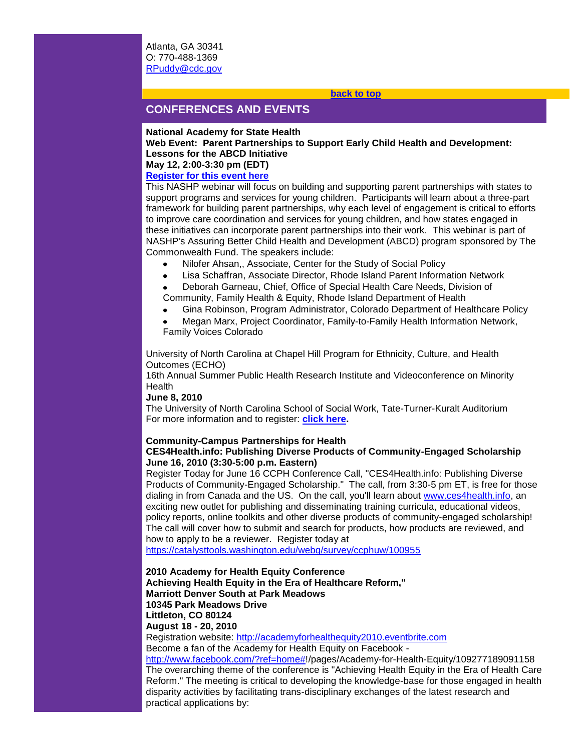## **[back to top](#page-0-1)**

# <span id="page-17-0"></span>**CONFERENCES AND EVENTS**

#### **National Academy for State Health**

**Web Event: Parent Partnerships to Support Early Child Health and Development: Lessons for the ABCD Initiative May 12, 2:00-3:30 pm (EDT)**

## **[Register for this event here](http://r20.rs6.net/tn.jsp?et=1103369382426&s=1&e=001lCjIYZaTCtLOg21L_Op9hQMwj8NzYExrIuZHTmwzkxeygteSTgz2FnW6z1XeBQKwi5uDdw8x3d41nA619d3gqIlCoNlV14aTkIZfT1CQuUdVghJLgGza6sI3MP8mYnsCl8HXkP72DPWIomy4Z6uqBPMRTTjg7VE9H5szRXIJ8gzQb2U7CzOsszl0GIEgOdjE-B7iEIkNAMk14UBSu7XqcWOXHYSgzO-Lf2-3qJ9-2yFy8wD1_2UINdJDsZqwfTUV3ZS9ICe8g9olW8EqWUb00pCSyAxmRjWV7N-vrrvCKV1P-p7ospOFk6ewInDgjRye8LnEUS4wKHM=)**

This NASHP webinar will focus on building and supporting parent partnerships with states to support programs and services for young children. Participants will learn about a three-part framework for building parent partnerships, why each level of engagement is critical to efforts to improve care coordination and services for young children, and how states engaged in these initiatives can incorporate parent partnerships into their work. This webinar is part of NASHP's Assuring Better Child Health and Development (ABCD) program sponsored by The Commonwealth Fund. The speakers include:

- Nilofer Ahsan,, Associate, Center for the Study of Social Policy
- Lisa Schaffran, Associate Director, Rhode Island Parent Information Network
- Deborah Garneau, Chief, Office of Special Health Care Needs, Division of Community, Family Health & Equity, Rhode Island Department of Health
- Gina Robinson, Program Administrator, Colorado Department of Healthcare Policy
- Megan Marx, Project Coordinator, Family-to-Family Health Information Network, Family Voices Colorado

University of North Carolina at Chapel Hill Program for Ethnicity, Culture, and Health Outcomes (ECHO)

16th Annual Summer Public Health Research Institute and Videoconference on Minority Health

## **June 8, 2010**

practical applications by:

The University of North Carolina School of Social Work, Tate-Turner-Kuralt Auditorium For more information and to register: **[click here.](http://r20.rs6.net/tn.jsp?et=1103369382426&s=1&e=001lCjIYZaTCtKLwyM2T_lkghg8Orxih6om6gl4p8ajWW1k-mYJ3PA-9Xt0HbpxAF_Dh0W6Py1q53juyKInCBh_xYAhj8mBdxP_AbilJZYf2K2gvLJJ86uwwQHAXsu-LebVwjaBDjxfJfJai5MiMm7IAQ==)**

## **Community-Campus Partnerships for Health**

## **CES4Health.info: Publishing Diverse Products of Community-Engaged Scholarship June 16, 2010 (3:30-5:00 p.m. Eastern)**

Register Today for June 16 CCPH Conference Call, "CES4Health.info: Publishing Diverse Products of Community-Engaged Scholarship." The call, from 3:30-5 pm ET, is free for those dialing in from Canada and the US. On the call, you'll learn about [www.ces4health.info,](http://r20.rs6.net/tn.jsp?et=1103369382426&s=1&e=001lCjIYZaTCtI0wh1VZ67PMhcilZTG96QpUy2f33hCMMbewLbk5-wUZ7ASDvTUn9X26mtbm6tVDhcyTZvUhGibJfLloTGsvbWUcyGyeIBUIGTVa1ZjWGrw6A==) an exciting new outlet for publishing and disseminating training curricula, educational videos, policy reports, online toolkits and other diverse products of community-engaged scholarship! The call will cover how to submit and search for products, how products are reviewed, and how to apply to be a reviewer. Register today at

[https://catalysttools.washington.edu/webq/survey/ccphuw/100955](http://r20.rs6.net/tn.jsp?et=1103369382426&s=1&e=001lCjIYZaTCtJB3W1N1OFSWiezy0KdR9D9FcB0iuV-TS8gv-i4-XNfiQeM8kaGafiOt68he5Fc3GCSUO-JMR_Y2p5mXXlSBKFiQbhmqNLN7HJlrFUXhl1Pc6QJRtVSa6Wr_NonX28Muip4ZvWdsrMQeMAJZTpbkrB-pxRluzDG7bo=)

**2010 Academy for Health Equity Conference Achieving Health Equity in the Era of Healthcare Reform," Marriott Denver South at Park Meadows 10345 Park Meadows Drive Littleton, CO 80124 August 18 - 20, 2010** Registration website: [http://academyforhealthequity2010.eventbrite.com](http://r20.rs6.net/tn.jsp?et=1103369382426&s=1&e=001lCjIYZaTCtLUHZomwm6hurPR_wcHvvpvSvf7ZjmqDe9e9Q3AQ2JjNr7rAj_oglKtxEB-jdYB1TpCIdy0VacjewjMruWqgWuPrdLQy2efhkBCo64WjjGq2HBqLaJov9w7ta_lEkbxld7WggvXKF6GdA==) Become a fan of the Academy for Health Equity on Facebook [http://www.facebook.com/?ref=home#!](http://r20.rs6.net/tn.jsp?et=1103369382426&s=1&e=001lCjIYZaTCtJ2Plxy9Cq6DYd_rRZDuxgG_a34dL7HR7_iLgtHBNdqxsqv7rbke9a7Nf1fRCi1igyMXnLpnz50jeIt_dRMDCinUlsoA7t8Ntj1i0-wh6aEeJZ6YaUTwBe8)/pages/Academy-for-Health-Equity/109277189091158 The overarching theme of the conference is "Achieving Health Equity in the Era of Health Care Reform." The meeting is critical to developing the knowledge-base for those engaged in health disparity activities by facilitating trans-disciplinary exchanges of the latest research and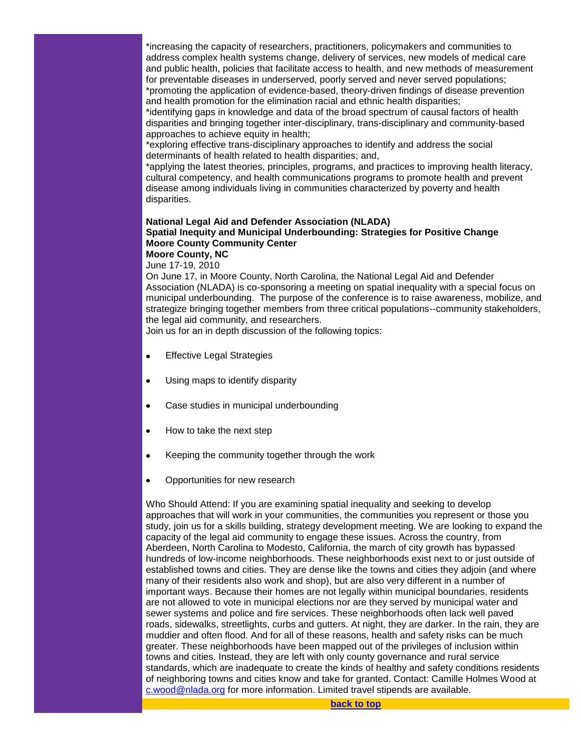\*increasing the capacity of researchers, practitioners, policymakers and communities to address complex health systems change, delivery of services, new models of medical care and public health, policies that facilitate access to health, and new methods of measurement for preventable diseases in underserved, poorly served and never served populations; \*promoting the application of evidence-based, theory-driven findings of disease prevention and health promotion for the elimination racial and ethnic health disparities;

\*identifying gaps in knowledge and data of the broad spectrum of causal factors of health disparities and bringing together inter-disciplinary, trans-disciplinary and community-based approaches to achieve equity in health;

\*exploring effective trans-disciplinary approaches to identify and address the social determinants of health related to health disparities; and,

\*applying the latest theories, principles, programs, and practices to improving health literacy, cultural competency, and health communications programs to promote health and prevent disease among individuals living in communities characterized by poverty and health disparities.

## **National Legal Aid and Defender Association (NLADA) Spatial Inequity and Municipal Underbounding: Strategies for Positive Change Moore County Community Center Moore County, NC**

June 17-19, 2010

On June 17, in Moore County, North Carolina, the National Legal Aid and Defender Association (NLADA) is co-sponsoring a meeting on spatial inequality with a special focus on municipal underbounding. The purpose of the conference is to raise awareness, mobilize, and strategize bringing together members from three critical populations--community stakeholders, the legal aid community, and researchers.

Join us for an in depth discussion of the following topics:

- **•** Effective Legal Strategies
- Using maps to identify disparity
- Case studies in municipal underbounding
- How to take the next step
- Keeping the community together through the work
- Opportunities for new research

Who Should Attend: If you are examining spatial inequality and seeking to develop approaches that will work in your communities, the communities you represent or those you study, join us for a skills building, strategy development meeting. We are looking to expand the capacity of the legal aid community to engage these issues. Across the country, from Aberdeen, North Carolina to Modesto, California, the march of city growth has bypassed hundreds of low-income neighborhoods. These neighborhoods exist next to or just outside of established towns and cities. They are dense like the towns and cities they adjoin (and where many of their residents also work and shop), but are also very different in a number of important ways. Because their homes are not legally within municipal boundaries, residents are not allowed to vote in municipal elections nor are they served by municipal water and sewer systems and police and fire services. These neighborhoods often lack well paved roads, sidewalks, streetlights, curbs and gutters. At night, they are darker. In the rain, they are muddier and often flood. And for all of these reasons, health and safety risks can be much greater. These neighborhoods have been mapped out of the privileges of inclusion within towns and cities. Instead, they are left with only county governance and rural service standards, which are inadequate to create the kinds of healthy and safety conditions residents of neighboring towns and cities know and take for granted. Contact: Camille Holmes Wood at [c.wood@nlada.org](mailto:c.wood@nlada.org) for more information. Limited travel stipends are available.

<span id="page-18-0"></span>**[back to top](#page-0-1)**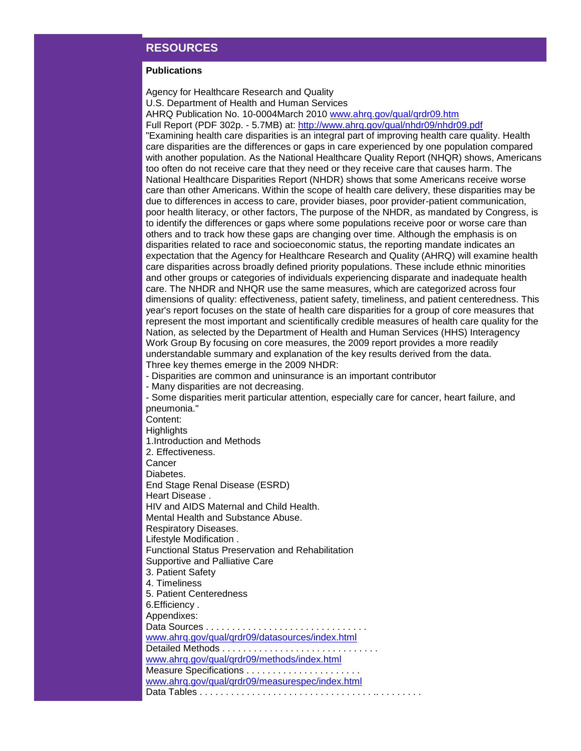# **RESOURCES**

## **Publications**

Agency for Healthcare Research and Quality U.S. Department of Health and Human Services

AHRQ Publication No. 10-0004March 2010 [www.ahrq.gov/qual/qrdr09.htm](http://r20.rs6.net/tn.jsp?et=1103369382426&s=1&e=001lCjIYZaTCtKl-i-MKqy3Z5ssqNwQ4FiGUPG2ttlpdBbMHyNYTHBTskffrmXOhfE-JxxJJfy1g2HT0Ww4KA101wagzdP2SKgBrEfRXqQVB0QvrwbBYmQit6EDrEq5Twbm)

Full Report (PDF 302p. - 5.7MB) at: [http://www.ahrq.gov/qual/nhdr09/nhdr09.pdf](http://r20.rs6.net/tn.jsp?et=1103369382426&s=1&e=001lCjIYZaTCtKyojRalQevWBd7MthfPABVH9Up3vNIEP8nBdLSwPwia3LZmWeMtpFPMEEjflA4yVFxWkk06zlIjrwcXClM_JNer0mZkjxxeZtuvYBPSJBJbWj80UiR-y08v6HJtjgwBo0=)

"Examining health care disparities is an integral part of improving health care quality. Health care disparities are the differences or gaps in care experienced by one population compared with another population. As the National Healthcare Quality Report (NHQR) shows, Americans too often do not receive care that they need or they receive care that causes harm. The National Healthcare Disparities Report (NHDR) shows that some Americans receive worse care than other Americans. Within the scope of health care delivery, these disparities may be due to differences in access to care, provider biases, poor provider-patient communication, poor health literacy, or other factors, The purpose of the NHDR, as mandated by Congress, is to identify the differences or gaps where some populations receive poor or worse care than others and to track how these gaps are changing over time. Although the emphasis is on disparities related to race and socioeconomic status, the reporting mandate indicates an expectation that the Agency for Healthcare Research and Quality (AHRQ) will examine health care disparities across broadly defined priority populations. These include ethnic minorities and other groups or categories of individuals experiencing disparate and inadequate health care. The NHDR and NHQR use the same measures, which are categorized across four dimensions of quality: effectiveness, patient safety, timeliness, and patient centeredness. This year's report focuses on the state of health care disparities for a group of core measures that represent the most important and scientifically credible measures of health care quality for the Nation, as selected by the Department of Health and Human Services (HHS) Interagency Work Group By focusing on core measures, the 2009 report provides a more readily understandable summary and explanation of the key results derived from the data. Three key themes emerge in the 2009 NHDR:

- Disparities are common and uninsurance is an important contributor

- Many disparities are not decreasing.

- Some disparities merit particular attention, especially care for cancer, heart failure, and pneumonia."

Content:

**Highlights** 

1.Introduction and Methods

2. Effectiveness.

**Cancer** 

Diabetes.

End Stage Renal Disease (ESRD)

Heart Disease .

HIV and AIDS Maternal and Child Health.

Mental Health and Substance Abuse.

Respiratory Diseases.

Lifestyle Modification .

Functional Status Preservation and Rehabilitation

Supportive and Palliative Care

3. Patient Safety

4. Timeliness

5. Patient Centeredness 6.Efficiency .

Appendixes:

Data Sources . . . . . . . . . . . . . . . . . . . . . . . . . . . . . . .

[www.ahrq.gov/qual/qrdr09/datasources/index.html](http://r20.rs6.net/tn.jsp?et=1103369382426&s=1&e=001lCjIYZaTCtKWowdkvafhNSJpNwqozKdf8awMdwR1SmS0PRWwfWHJVVVYTh0wHL2sZcUbwPOaSKkiDb-IFEFUj28BkwmQxyuzFWGS8U0koKz2JF5HmtsFRv88gDsSzh4jhEgNnVohsYEvou4hJaWS22dDt9c4wp-9)

Detailed Methods . . . . . . . . . . . . . . . . . . . . . . . . . . . . . .

[www.ahrq.gov/qual/qrdr09/methods/index.html](http://r20.rs6.net/tn.jsp?et=1103369382426&s=1&e=001lCjIYZaTCtL0-b1BjNBhOuOMiVDXFA5dbF85qwYtI_R4D_jk9d5m2LroHgYn6v_haoN6DgDHyx-3HTT5RmgVfWkT1P_7Vu5uA_8iPLRzQGZ4dQWxmNTLwtVd_EJ-j6uiLbe8FlhPHkz5Vakqe9BWGA==)

Measure Specifications . . . . . . . . . . . . . . . . . . . . . .

[www.ahrq.gov/qual/qrdr09/measurespec/index.html](http://r20.rs6.net/tn.jsp?et=1103369382426&s=1&e=001lCjIYZaTCtJx3w9-QCQ-tiAi6T-o62gye7BLh9KT7sPPIkf8wRHmn9_2T9Y8qhvmJutRKUTSqoL4JOW9_VI5H5G-YkF1qJF1R-zshZTIvPaCCbX0wqNiPrH2sCSqFBVhwNgE-pp03ExLlwmP4Ki9DnRcV_hDvyRS) Data Tables . . . . . . . . . . . . . . . . . . . . . . . . . . . . . . . . . .. . . . . . . . .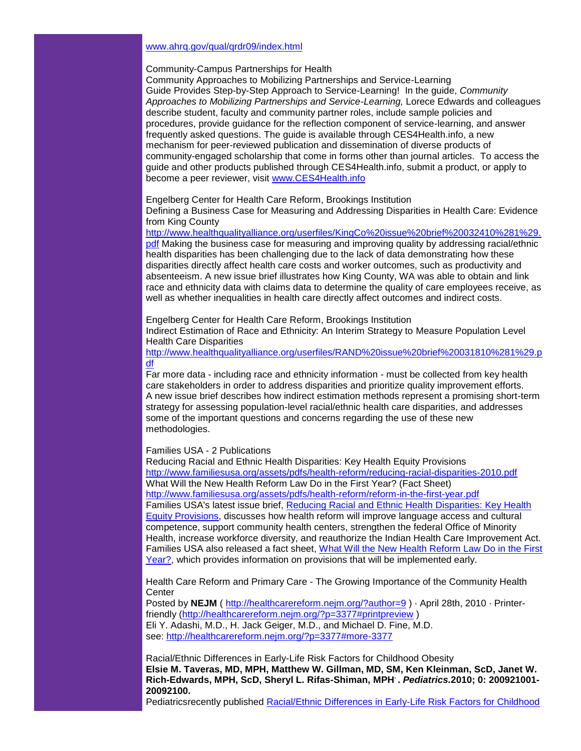# [www.ahrq.gov/qual/qrdr09/index.html](http://r20.rs6.net/tn.jsp?et=1103369382426&s=1&e=001lCjIYZaTCtKTcXu4ByZVeV0v_SLtKc2FByQ48wNzbl58LoXNn2mDucOCcgsuNPHTrHtB5X6tBztvOjP28UabY1Z3_l6tfrXmqWRn4Qsqwtd_wvJBIWU4aYtgoeenP8G6i_NAajw34yY=)

Community-Campus Partnerships for Health

Community Approaches to Mobilizing Partnerships and Service-Learning Guide Provides Step-by-Step Approach to Service-Learning! In the guide, *Community Approaches to Mobilizing Partnerships and Service-Learning,* Lorece Edwards and colleagues describe student, faculty and community partner roles, include sample policies and procedures, provide guidance for the reflection component of service-learning, and answer frequently asked questions. The guide is available through CES4Health.info, a new mechanism for peer-reviewed publication and dissemination of diverse products of community-engaged scholarship that come in forms other than journal articles. To access the guide and other products published through CES4Health.info, submit a product, or apply to become a peer reviewer, visit [www.CES4Health.info](http://r20.rs6.net/tn.jsp?et=1103369382426&s=1&e=001lCjIYZaTCtI0wh1VZ67PMhcilZTG96QpUy2f33hCMMbewLbk5-wUZ7ASDvTUn9X26mtbm6tVDhcyTZvUhGibJfLloTGsvbWUcyGyeIBUIGTVa1ZjWGrw6A==)

Engelberg Center for Health Care Reform, Brookings Institution

Defining a Business Case for Measuring and Addressing Disparities in Health Care: Evidence from King County

[http://www.healthqualityalliance.org/userfiles/KingCo%20issue%20brief%20032410%281%29.](http://r20.rs6.net/tn.jsp?et=1103369382426&s=1&e=001lCjIYZaTCtI5UR3_hewA6aDiZ_RnKBe7vBrbLoclaaqslVuap4ru-WqExqSnzshXNSremlhI_yGyQKB0-dHWwgF-aCAIUOTs18UIzF1DfMwXSCRuZhsn6myDhPMqw8cbP4dt7pLbEqRf52uNrZhhxoVVK-sXDz5FDgCobEPzxb4f9ujlWRsKjY_J8Bai8hqxaqSKC0Cul50B9KlENvevug==)

[pdf](http://r20.rs6.net/tn.jsp?et=1103369382426&s=1&e=001lCjIYZaTCtI5UR3_hewA6aDiZ_RnKBe7vBrbLoclaaqslVuap4ru-WqExqSnzshXNSremlhI_yGyQKB0-dHWwgF-aCAIUOTs18UIzF1DfMwXSCRuZhsn6myDhPMqw8cbP4dt7pLbEqRf52uNrZhhxoVVK-sXDz5FDgCobEPzxb4f9ujlWRsKjY_J8Bai8hqxaqSKC0Cul50B9KlENvevug==) Making the business case for measuring and improving quality by addressing racial/ethnic health disparities has been challenging due to the lack of data demonstrating how these disparities directly affect health care costs and worker outcomes, such as productivity and absenteeism. A new issue brief illustrates how King County, WA was able to obtain and link race and ethnicity data with claims data to determine the quality of care employees receive, as well as whether inequalities in health care directly affect outcomes and indirect costs.

Engelberg Center for Health Care Reform, Brookings Institution

Indirect Estimation of Race and Ethnicity: An Interim Strategy to Measure Population Level Health Care Disparities

[http://www.healthqualityalliance.org/userfiles/RAND%20issue%20brief%20031810%281%29.p](http://r20.rs6.net/tn.jsp?et=1103369382426&s=1&e=001lCjIYZaTCtIuNAVjyclt1AjLH0LzyRxCKisUpr7T1jP2ZNyXU5_ZSU42ila99K1swex4fzYvLPbeJexfkQxWuLIUrtO0dYW_zDHQxpNbs8NCFO0C9W2DKgFj9-hTfyrS5Lo8d1WNG45K57wsX7p38W9qz_03PCr7M8gWe-SGFa-UiEQ75kRPsAm5uakf1M9roO3FvnXSIBLuwF96kcoCJw==) [df](http://r20.rs6.net/tn.jsp?et=1103369382426&s=1&e=001lCjIYZaTCtIuNAVjyclt1AjLH0LzyRxCKisUpr7T1jP2ZNyXU5_ZSU42ila99K1swex4fzYvLPbeJexfkQxWuLIUrtO0dYW_zDHQxpNbs8NCFO0C9W2DKgFj9-hTfyrS5Lo8d1WNG45K57wsX7p38W9qz_03PCr7M8gWe-SGFa-UiEQ75kRPsAm5uakf1M9roO3FvnXSIBLuwF96kcoCJw==)

Far more data - including race and ethnicity information - must be collected from key health care stakeholders in order to address disparities and prioritize quality improvement efforts. A new issue brief describes how indirect estimation methods represent a promising short-term strategy for assessing population-level racial/ethnic health care disparities, and addresses some of the important questions and concerns regarding the use of these new methodologies.

# Families USA - 2 Publications

Reducing Racial and Ethnic Health Disparities: Key Health Equity Provisions [http://www.familiesusa.org/assets/pdfs/health-reform/reducing-racial-disparities-2010.pdf](http://r20.rs6.net/tn.jsp?et=1103369382426&s=1&e=001lCjIYZaTCtKqth9FtYH9Be7GIhR321z7TxGlrTJSl2a19R53iSlJfCUhf7f9xB62BczfbfKzZQQJf2vLeUVwwaOMZ4ax-rrk_NqyD1nmN75ppYbbdBQ32DzWf_W75s0a23sZ9pYlCiZEadAax2yU6jcUeoxvasVH0wWx5GhMyfC4mKO51I5kN_SvH57nXf5JfpZaXmJlvB4=) What Will the New Health Reform Law Do in the First Year? (Fact Sheet) [http://www.familiesusa.org/assets/pdfs/health-reform/reform-in-the-first-year.pdf](http://r20.rs6.net/tn.jsp?et=1103369382426&s=1&e=001lCjIYZaTCtKqh9zvoGf6-4E-q_o_g9SiN1_z3yCx1lTtgXN-hwKi1foDo8GR7sIY5TiRdsw6Z1Z9c3XALMDY3BKURqGZAFL_mjubysUbG8w9UANnnnYZk96W13qgglpqAGtXSIJVevd5OeiRs2N8J1xjHPg2zRroZvXIZKDAC7jYpZjGEegBbnMbGfrUgaeZ) Families USA's latest issue brief, [Reducing Racial and Ethnic Health Disparities: Key Health](http://r20.rs6.net/tn.jsp?et=1103369382426&s=1&e=001lCjIYZaTCtKqth9FtYH9Be7GIhR321z7TxGlrTJSl2a19R53iSlJfCUhf7f9xB62BczfbfKzZQQJf2vLeUVwwaOMZ4ax-rrk_NqyD1nmN75ppYbbdBQ32DzWf_W75s0a23sZ9pYlCiZEadAax2yU6jcUeoxvasVH0wWx5GhMyfC4mKO51I5kN_SvH57nXf5JfpZaXmJlvB4=)  [Equity Provisions,](http://r20.rs6.net/tn.jsp?et=1103369382426&s=1&e=001lCjIYZaTCtKqth9FtYH9Be7GIhR321z7TxGlrTJSl2a19R53iSlJfCUhf7f9xB62BczfbfKzZQQJf2vLeUVwwaOMZ4ax-rrk_NqyD1nmN75ppYbbdBQ32DzWf_W75s0a23sZ9pYlCiZEadAax2yU6jcUeoxvasVH0wWx5GhMyfC4mKO51I5kN_SvH57nXf5JfpZaXmJlvB4=) discusses how health reform will improve language access and cultural competence, support community health centers, strengthen the federal Office of Minority Health, increase workforce diversity, and reauthorize the Indian Health Care Improvement Act. Families USA also released a fact sheet, [What Will the New Health Reform Law Do in the First](http://r20.rs6.net/tn.jsp?et=1103369382426&s=1&e=001lCjIYZaTCtKqh9zvoGf6-4E-q_o_g9SiN1_z3yCx1lTtgXN-hwKi1foDo8GR7sIY5TiRdsw6Z1Z9c3XALMDY3BKURqGZAFL_mjubysUbG8w9UANnnnYZk96W13qgglpqAGtXSIJVevd5OeiRs2N8J1xjHPg2zRroZvXIZKDAC7jYpZjGEegBbnMbGfrUgaeZ)  [Year?,](http://r20.rs6.net/tn.jsp?et=1103369382426&s=1&e=001lCjIYZaTCtKqh9zvoGf6-4E-q_o_g9SiN1_z3yCx1lTtgXN-hwKi1foDo8GR7sIY5TiRdsw6Z1Z9c3XALMDY3BKURqGZAFL_mjubysUbG8w9UANnnnYZk96W13qgglpqAGtXSIJVevd5OeiRs2N8J1xjHPg2zRroZvXIZKDAC7jYpZjGEegBbnMbGfrUgaeZ) which provides information on provisions that will be implemented early.

Health Care Reform and Primary Care - The Growing Importance of the Community Health **Center** 

Posted by **NEJM** ( [http://healthcarereform.nejm.org/?author=9](http://r20.rs6.net/tn.jsp?et=1103369382426&s=1&e=001lCjIYZaTCtLrVhrJyDndzDELPE_jZbhLUm1v0bEbVAsw2sOdil7JBrt64ZZ_F4ofhSOq51jeaTZLkWRe5gQNX8A8vbwqvrcr1WnZFAyN-4_g2moZvFCkVmoCCWKQ4ijTyFkYZbaocM8=)) · April 28th, 2010 · Printerfriendly [\(http://healthcarereform.nejm.org/?p=3377#printpreview](http://r20.rs6.net/tn.jsp?et=1103369382426&s=1&e=001lCjIYZaTCtJ9GLTwDoBtRDkiUbcMH7eo-4QzTzNNN_oadXMhGuCrrC_LnRpPuAr3b4fxGoIyq54S4l0sw5xT1UWLle71RwjnA6lHYhsQfd4YWQAqQ9cy8_UKFLw09UQNHm6FvtMUJKkxiZewYMmQu0ciaTxZbhEv) ) Eli Y. Adashi, M.D., H. Jack Geiger, M.D., and Michael D. Fine, M.D. see: [http://healthcarereform.nejm.org/?p=3377#more-3377](http://r20.rs6.net/tn.jsp?et=1103369382426&s=1&e=001lCjIYZaTCtLvFcHvYSpbUfiqAKfjWpsAL4VVxQMvQ5ZpN3WxMdj9N-l-PH2eHxjZgwI18JBXnxXxYJJebbcYi9lL7QmdyE3BoPQ_iDadqS2u2K-6_OEeBXTSZzFZZ-RdOrc58YpXYKb5ZqOGdA8ARA==)

Racial/Ethnic Differences in Early-Life Risk Factors for Childhood Obesity **Elsie M. Taveras, MD, MPH, Matthew W. Gillman, MD, SM, Ken Kleinman, ScD, Janet W. Rich-Edwards, MPH, ScD, Sheryl L. Rifas-Shiman, MPH. .** *Pediatrics.***2010; 0: 200921001- 20092100.**

Pediatricsrecently published Racial/Ethnic Differences in Early-Life Risk Factors for Childhood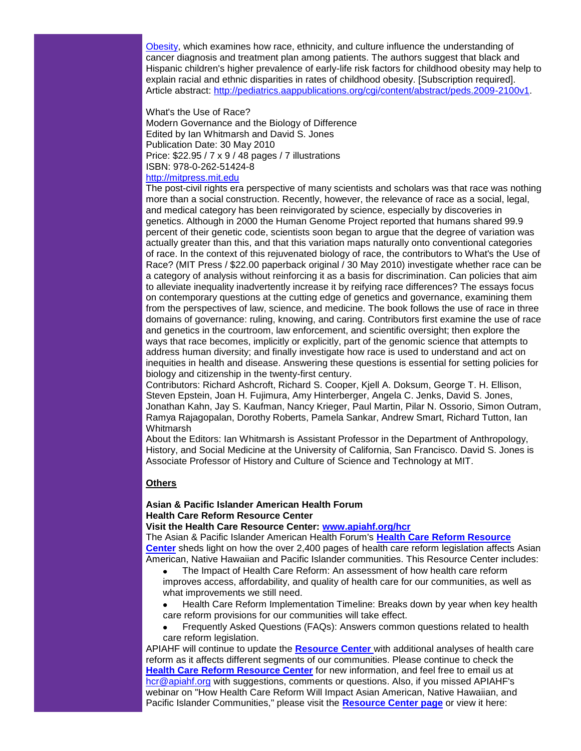Obesity, which examines how race, ethnicity, and culture influence the understanding of cancer diagnosis and treatment plan among patients. The authors suggest that black and Hispanic children's higher prevalence of early-life risk factors for childhood obesity may help to explain racial and ethnic disparities in rates of childhood obesity. [Subscription required]. Article abstract: [http://pediatrics.aappublications.org/cgi/content/abstract/peds.2009-2100v1.](http://r20.rs6.net/tn.jsp?et=1103369382426&s=1&e=001lCjIYZaTCtLvrxT6pJKRHgp3kAaBmqsEFg0UotNdPbv52hWIjN8xj4BH6BrJp6SnsQecw9OrljqF46mVwYMp7UKVImKPf9aN7KzQBNDfZxbgzD783Focwx6JMSrhWDDDWo0bTKPVDdjtHJT-1znfPPxR9zmwUMKmAeOw_FrndExeuN4bC3xAQ_urEPPsMvdk)

#### What's the Use of Race?

Modern Governance and the Biology of Difference Edited by Ian Whitmarsh and David S. Jones Publication Date: 30 May 2010 Price: \$22.95 / 7 x 9 / 48 pages / 7 illustrations ISBN: 978-0-262-51424-8

# [http://mitpress.mit.edu](http://r20.rs6.net/tn.jsp?et=1103369382426&s=1&e=001lCjIYZaTCtLRE-qn2L7_qQ8ZlGW0MrJPTBSkeBkubdlY3N8jvVnRpJPYIXrnxpZo5ermB5wtblsfA5EdpnCaGbW0uy7XmTnWjZfujgrnT-I=)

The post-civil rights era perspective of many scientists and scholars was that race was nothing more than a social construction. Recently, however, the relevance of race as a social, legal, and medical category has been reinvigorated by science, especially by discoveries in genetics. Although in 2000 the Human Genome Project reported that humans shared 99.9 percent of their genetic code, scientists soon began to argue that the degree of variation was actually greater than this, and that this variation maps naturally onto conventional categories of race. In the context of this rejuvenated biology of race, the contributors to What's the Use of Race? (MIT Press / \$22.00 paperback original / 30 May 2010) investigate whether race can be a category of analysis without reinforcing it as a basis for discrimination. Can policies that aim to alleviate inequality inadvertently increase it by reifying race differences? The essays focus on contemporary questions at the cutting edge of genetics and governance, examining them from the perspectives of law, science, and medicine. The book follows the use of race in three domains of governance: ruling, knowing, and caring. Contributors first examine the use of race and genetics in the courtroom, law enforcement, and scientific oversight; then explore the ways that race becomes, implicitly or explicitly, part of the genomic science that attempts to address human diversity; and finally investigate how race is used to understand and act on inequities in health and disease. Answering these questions is essential for setting policies for biology and citizenship in the twenty-first century.

Contributors: Richard Ashcroft, Richard S. Cooper, Kjell A. Doksum, George T. H. Ellison, Steven Epstein, Joan H. Fujimura, Amy Hinterberger, Angela C. Jenks, David S. Jones, Jonathan Kahn, Jay S. Kaufman, Nancy Krieger, Paul Martin, Pilar N. Ossorio, Simon Outram, Ramya Rajagopalan, Dorothy Roberts, Pamela Sankar, Andrew Smart, Richard Tutton, Ian **Whitmarsh** 

About the Editors: Ian Whitmarsh is Assistant Professor in the Department of Anthropology, History, and Social Medicine at the University of California, San Francisco. David S. Jones is Associate Professor of History and Culture of Science and Technology at MIT.

# **Others**

# **Asian & Pacific Islander American Health Forum Health Care Reform Resource Center**

**Visit the Health Care Resource Center: [www.apiahf.org/hcr](http://r20.rs6.net/tn.jsp?et=1103369382426&s=1&e=001lCjIYZaTCtL-3y7j4xgYJorLsiwzHdy4bYXnL5ptM1WeV68gG-ac39svcAz9oHap0j4Nncw6Thr2NshvO14qcYqQekuRjRE1hsw0T_AZ_hUrw7gf2DQcpr2_0n-D8gojhUWpBDVb55OwB3Xm6sk6pgDZPwdpLkuPGK9IuWhW7Ewe9-90HWyHfhgoN0mWRys9YlM2YwivUYs=)**

The Asian & Pacific Islander American Health Forum's **[Health Care Reform Resource](http://r20.rs6.net/tn.jsp?et=1103369382426&s=1&e=001lCjIYZaTCtKKaLCB8w-MeqRb4N8JH40Yw6uZotJnBpaTr966URu2aQiGmJJbo_DExFnrsdkDyu0B0c1Zo6yek_m_jVbmOgg6OIQYrckYlw7tmRR8GFYw1e0ELhIBTVo4rGWvXQpoY46r3iQ8fQLOgyXFn4MOZOLEJ4TAVmYUNS7WTjgnSKn514uyALbvWp4d4Gigq7BItPUWMShZ2CT-5w==)  [Center](http://r20.rs6.net/tn.jsp?et=1103369382426&s=1&e=001lCjIYZaTCtKKaLCB8w-MeqRb4N8JH40Yw6uZotJnBpaTr966URu2aQiGmJJbo_DExFnrsdkDyu0B0c1Zo6yek_m_jVbmOgg6OIQYrckYlw7tmRR8GFYw1e0ELhIBTVo4rGWvXQpoY46r3iQ8fQLOgyXFn4MOZOLEJ4TAVmYUNS7WTjgnSKn514uyALbvWp4d4Gigq7BItPUWMShZ2CT-5w==)** sheds light on how the over 2,400 pages of health care reform legislation affects Asian American, Native Hawaiian and Pacific Islander communities. This Resource Center includes:

- The Impact of Health Care Reform: An assessment of how health care reform improves access, affordability, and quality of health care for our communities, as well as what improvements we still need.
- Health Care Reform Implementation Timeline: Breaks down by year when key health care reform provisions for our communities will take effect.
- Frequently Asked Questions (FAQs): Answers common questions related to health care reform legislation.

APIAHF will continue to update the **[Resource Center](http://r20.rs6.net/tn.jsp?et=1103369382426&s=1&e=001lCjIYZaTCtK88T7JEUjtVTWAAUIBKGV-ja5-MsT7y2VlUWHlB7mLQ3pqKZbsTa44GgVnCi-HpjyxjAk57SYPBvVTSbXX5cYZpEmKPyeV0aAEaO3ihxNBFAcE36EvwaF9vsQM5IH3FPfAouZfUDLN9vjjGKtrZP7SAR9vJ6k5LRyCDMesrQSxl3PQrlSzYnUep-GoqCAgLJQ=)** with additional analyses of health care reform as it affects different segments of our communities. Please continue to check the **[Health Care Reform Resource Center](http://r20.rs6.net/tn.jsp?et=1103369382426&s=1&e=001lCjIYZaTCtK8Z895Ic2GIiNFD-nsSpcUaPBy0Vh3WbNQwp6eHdC5ZOMB_RTGvAbU_3g1_hxbdorDaxAsB4Sphg9S3pCoIVR7KMhL1_gDNshIzqb3gRIIMLSnBX-psycyjLAaIb9dyIw-ZShdYDhUUT8AADwkI23aY-PzGieJhyoKDCXp7flULw7vZ1smswf8fxVeCjj162R2bzbSXaRfww==)** for new information, and feel free to email us at [hcr@apiahf.org](mailto:hcr@apiahf.org) with suggestions, comments or questions. Also, if you missed APIAHF's webinar on "How Health Care Reform Will Impact Asian American, Native Hawaiian, and Pacific Islander Communities," please visit the **[Resource Center page](http://r20.rs6.net/tn.jsp?et=1103369382426&s=1&e=001lCjIYZaTCtLkkXiwRFK8rYQh0EaQluOe4OkhucTgDw1EeD27oYwZ4kz_kB8HacZCgzXAh-vHv9ewUQlzliKwJFUQq-DM_oo5oRSaSE-ahn_kB7Z_1bfVr-Hk-0VpxN9mSRQ9KGGm6ZqR_aXdn7kJMUPXNad72Jdysk9zpnssdSYexBFrQ40iRQynEie3XrMrJIC8ljb8lnM=)** or view it here: